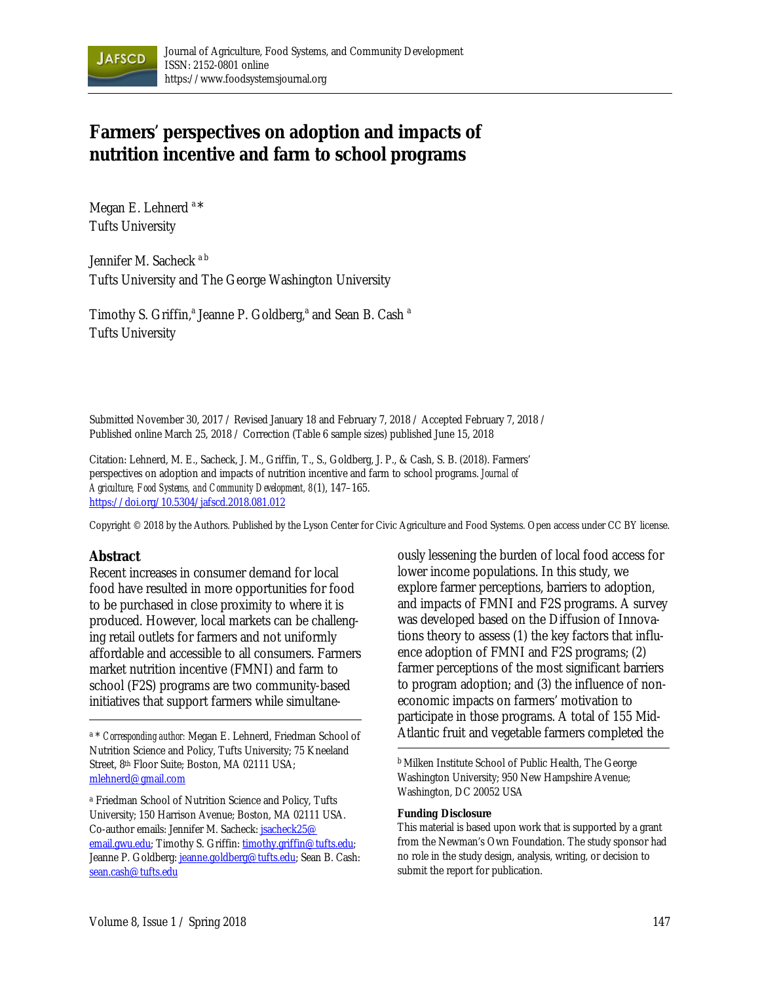

# **Farmers' perspectives on adoption and impacts of nutrition incentive and farm to school programs**

Megan E. Lehnerd<sup>a\*</sup> Tufts University

Jennifer M. Sacheck<sup>ab</sup> Tufts University and The George Washington University

Timothy S. Griffin,<sup>a</sup> Jeanne P. Goldberg,<sup>a</sup> and Sean B. Cash<sup>a</sup> Tufts University

Submitted November 30, 2017 / Revised January 18 and February 7, 2018 / Accepted February 7, 2018 / Published online March 25, 2018 / Correction (Table 6 sample sizes) published June 15, 2018

Citation: Lehnerd, M. E., Sacheck, J. M., Griffin, T., S., Goldberg, J. P., & Cash, S. B. (2018). Farmers' perspectives on adoption and impacts of nutrition incentive and farm to school programs. *Journal of Agriculture, Food Systems, and Community Development, 8*(1), 147–165. https://doi.org/10.5304/jafscd.2018.081.012

Copyright © 2018 by the Authors. Published by the Lyson Center for Civic Agriculture and Food Systems. Open access under CC BY license.

#### **Abstract**

Recent increases in consumer demand for local food have resulted in more opportunities for food to be purchased in close proximity to where it is produced. However, local markets can be challenging retail outlets for farmers and not uniformly affordable and accessible to all consumers. Farmers market nutrition incentive (FMNI) and farm to school (F2S) programs are two community-based initiatives that support farmers while simultane-

<sup>a</sup> Friedman School of Nutrition Science and Policy, Tufts University; 150 Harrison Avenue; Boston, MA 02111 USA. Co-author emails: Jennifer M. Sacheck: [jsacheck25@](jsacheck25@email.gwu.edu)  email.gwu.edu; Timothy S. Griffin: timothy.griffin@tufts.edu; Jeanne P. Goldberg: jeanne.goldberg@tufts.edu; Sean B. Cash: sean.cash@tufts.edu

ously lessening the burden of local food access for lower income populations. In this study, we explore farmer perceptions, barriers to adoption, and impacts of FMNI and F2S programs. A survey was developed based on the Diffusion of Innovations theory to assess (1) the key factors that influence adoption of FMNI and F2S programs; (2) farmer perceptions of the most significant barriers to program adoption; and (3) the influence of noneconomic impacts on farmers' motivation to participate in those programs. A total of 155 Mid-Atlantic fruit and vegetable farmers completed the

b Milken Institute School of Public Health, The George Washington University; 950 New Hampshire Avenue; Washington, DC 20052 USA

#### **Funding Disclosure**

This material is based upon work that is supported by a grant from the Newman's Own Foundation. The study sponsor had no role in the study design, analysis, writing, or decision to submit the report for publication.

a \* *Corresponding author:* Megan E. Lehnerd, Friedman School of Nutrition Science and Policy, Tufts University; 75 Kneeland Street, 8<sup>th</sup> Floor Suite; Boston, MA 02111 USA; mlehnerd@gmail.com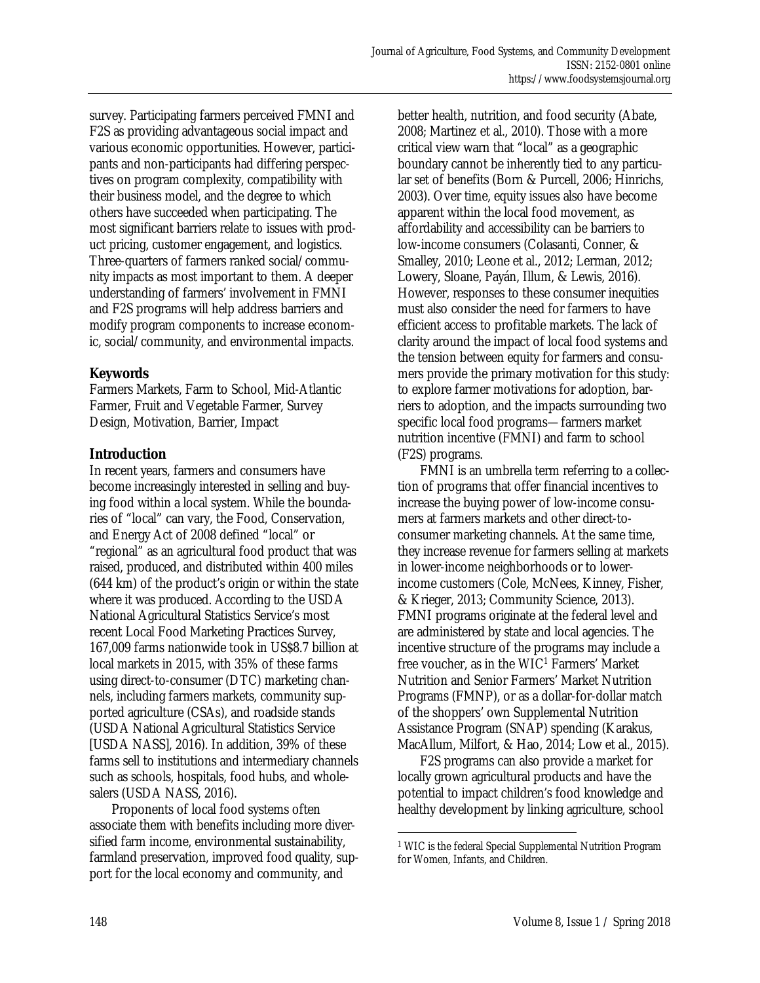survey. Participating farmers perceived FMNI and F2S as providing advantageous social impact and various economic opportunities. However, participants and non-participants had differing perspectives on program complexity, compatibility with their business model, and the degree to which others have succeeded when participating. The most significant barriers relate to issues with product pricing, customer engagement, and logistics. Three-quarters of farmers ranked social/community impacts as most important to them. A deeper understanding of farmers' involvement in FMNI and F2S programs will help address barriers and modify program components to increase economic, social/community, and environmental impacts.

### **Keywords**

Farmers Markets, Farm to School, Mid-Atlantic Farmer, Fruit and Vegetable Farmer, Survey Design, Motivation, Barrier, Impact

### **Introduction**

In recent years, farmers and consumers have become increasingly interested in selling and buying food within a local system. While the boundaries of "local" can vary, the Food, Conservation, and Energy Act of 2008 defined "local" or "regional" as an agricultural food product that was raised, produced, and distributed within 400 miles (644 km) of the product's origin or within the state where it was produced. According to the USDA National Agricultural Statistics Service's most recent Local Food Marketing Practices Survey, 167,009 farms nationwide took in US\$8.7 billion at local markets in 2015, with 35% of these farms using direct-to-consumer (DTC) marketing channels, including farmers markets, community supported agriculture (CSAs), and roadside stands (USDA National Agricultural Statistics Service [USDA NASS], 2016). In addition, 39% of these farms sell to institutions and intermediary channels such as schools, hospitals, food hubs, and wholesalers (USDA NASS, 2016).

 Proponents of local food systems often associate them with benefits including more diversified farm income, environmental sustainability, farmland preservation, improved food quality, support for the local economy and community, and

better health, nutrition, and food security (Abate, 2008; Martinez et al., 2010). Those with a more critical view warn that "local" as a geographic boundary cannot be inherently tied to any particular set of benefits (Born & Purcell, 2006; Hinrichs, 2003). Over time, equity issues also have become apparent within the local food movement, as affordability and accessibility can be barriers to low-income consumers (Colasanti, Conner, & Smalley, 2010; Leone et al., 2012; Lerman, 2012; Lowery, Sloane, Payán, Illum, & Lewis, 2016). However, responses to these consumer inequities must also consider the need for farmers to have efficient access to profitable markets. The lack of clarity around the impact of local food systems and the tension between equity for farmers and consumers provide the primary motivation for this study: to explore farmer motivations for adoption, barriers to adoption, and the impacts surrounding two specific local food programs—farmers market nutrition incentive (FMNI) and farm to school (F2S) programs.

 FMNI is an umbrella term referring to a collection of programs that offer financial incentives to increase the buying power of low-income consumers at farmers markets and other direct-toconsumer marketing channels. At the same time, they increase revenue for farmers selling at markets in lower-income neighborhoods or to lowerincome customers (Cole, McNees, Kinney, Fisher, & Krieger, 2013; Community Science, 2013). FMNI programs originate at the federal level and are administered by state and local agencies. The incentive structure of the programs may include a free voucher, as in the WIC1 Farmers' Market Nutrition and Senior Farmers' Market Nutrition Programs (FMNP), or as a dollar-for-dollar match of the shoppers' own Supplemental Nutrition Assistance Program (SNAP) spending (Karakus, MacAllum, Milfort, & Hao, 2014; Low et al., 2015).

 F2S programs can also provide a market for locally grown agricultural products and have the potential to impact children's food knowledge and healthy development by linking agriculture, school

 $\overline{\phantom{a}}$ 

<sup>1</sup> WIC is the federal Special Supplemental Nutrition Program for Women, Infants, and Children.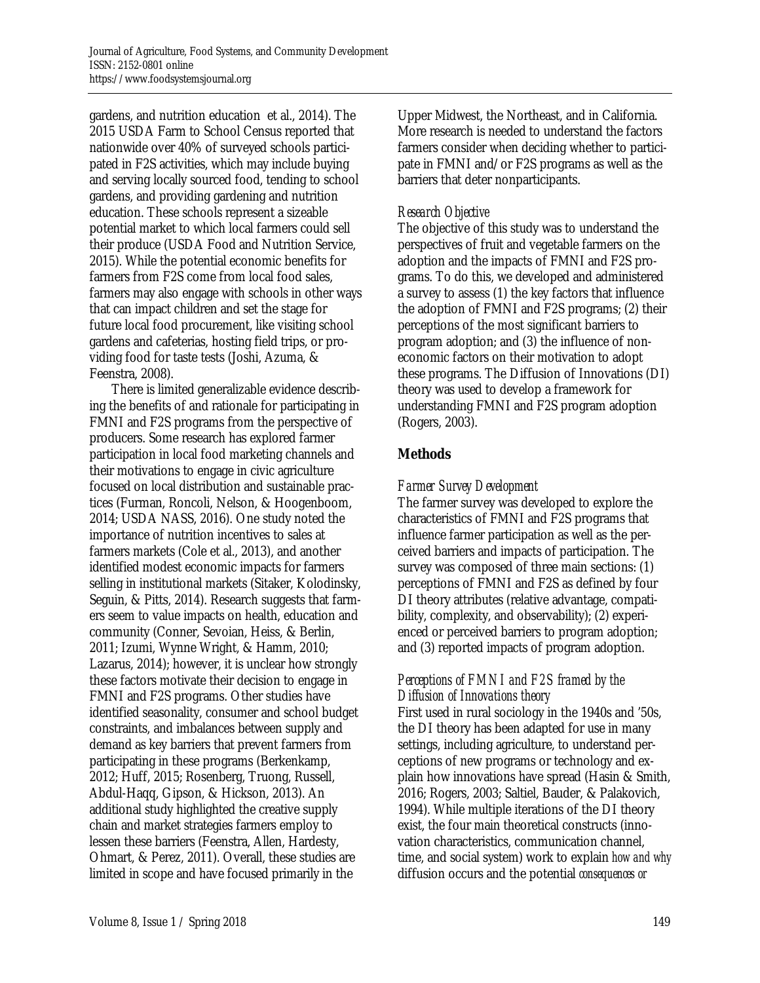gardens, and nutrition education et al., 2014). The 2015 USDA Farm to School Census reported that nationwide over 40% of surveyed schools participated in F2S activities, which may include buying and serving locally sourced food, tending to school gardens, and providing gardening and nutrition education. These schools represent a sizeable potential market to which local farmers could sell their produce (USDA Food and Nutrition Service, 2015). While the potential economic benefits for farmers from F2S come from local food sales, farmers may also engage with schools in other ways that can impact children and set the stage for future local food procurement, like visiting school gardens and cafeterias, hosting field trips, or providing food for taste tests (Joshi, Azuma, & Feenstra, 2008).

 There is limited generalizable evidence describing the benefits of and rationale for participating in FMNI and F2S programs from the perspective of producers. Some research has explored farmer participation in local food marketing channels and their motivations to engage in civic agriculture focused on local distribution and sustainable practices (Furman, Roncoli, Nelson, & Hoogenboom, 2014; USDA NASS, 2016). One study noted the importance of nutrition incentives to sales at farmers markets (Cole et al., 2013), and another identified modest economic impacts for farmers selling in institutional markets (Sitaker, Kolodinsky, Seguin, & Pitts, 2014). Research suggests that farmers seem to value impacts on health, education and community (Conner, Sevoian, Heiss, & Berlin, 2011; Izumi, Wynne Wright, & Hamm, 2010; Lazarus, 2014); however, it is unclear how strongly these factors motivate their decision to engage in FMNI and F2S programs. Other studies have identified seasonality, consumer and school budget constraints, and imbalances between supply and demand as key barriers that prevent farmers from participating in these programs (Berkenkamp, 2012; Huff, 2015; Rosenberg, Truong, Russell, Abdul-Haqq, Gipson, & Hickson, 2013). An additional study highlighted the creative supply chain and market strategies farmers employ to lessen these barriers (Feenstra, Allen, Hardesty, Ohmart, & Perez, 2011). Overall, these studies are limited in scope and have focused primarily in the

Upper Midwest, the Northeast, and in California. More research is needed to understand the factors farmers consider when deciding whether to participate in FMNI and/or F2S programs as well as the barriers that deter nonparticipants.

### *Research Objective*

The objective of this study was to understand the perspectives of fruit and vegetable farmers on the adoption and the impacts of FMNI and F2S programs. To do this, we developed and administered a survey to assess (1) the key factors that influence the adoption of FMNI and F2S programs; (2) their perceptions of the most significant barriers to program adoption; and (3) the influence of noneconomic factors on their motivation to adopt these programs. The Diffusion of Innovations (DI) theory was used to develop a framework for understanding FMNI and F2S program adoption (Rogers, 2003).

## **Methods**

## *Farmer Survey Development*

The farmer survey was developed to explore the characteristics of FMNI and F2S programs that influence farmer participation as well as the perceived barriers and impacts of participation. The survey was composed of three main sections: (1) perceptions of FMNI and F2S as defined by four DI theory attributes (relative advantage, compatibility, complexity, and observability); (2) experienced or perceived barriers to program adoption; and (3) reported impacts of program adoption.

### *Perceptions of FMNI and F2S framed by the Diffusion of Innovations theory*

First used in rural sociology in the 1940s and '50s, the DI theory has been adapted for use in many settings, including agriculture, to understand perceptions of new programs or technology and explain how innovations have spread (Hasin & Smith, 2016; Rogers, 2003; Saltiel, Bauder, & Palakovich, 1994). While multiple iterations of the DI theory exist, the four main theoretical constructs (innovation characteristics, communication channel, time, and social system) work to explain *how and why* diffusion occurs and the potential *consequences or*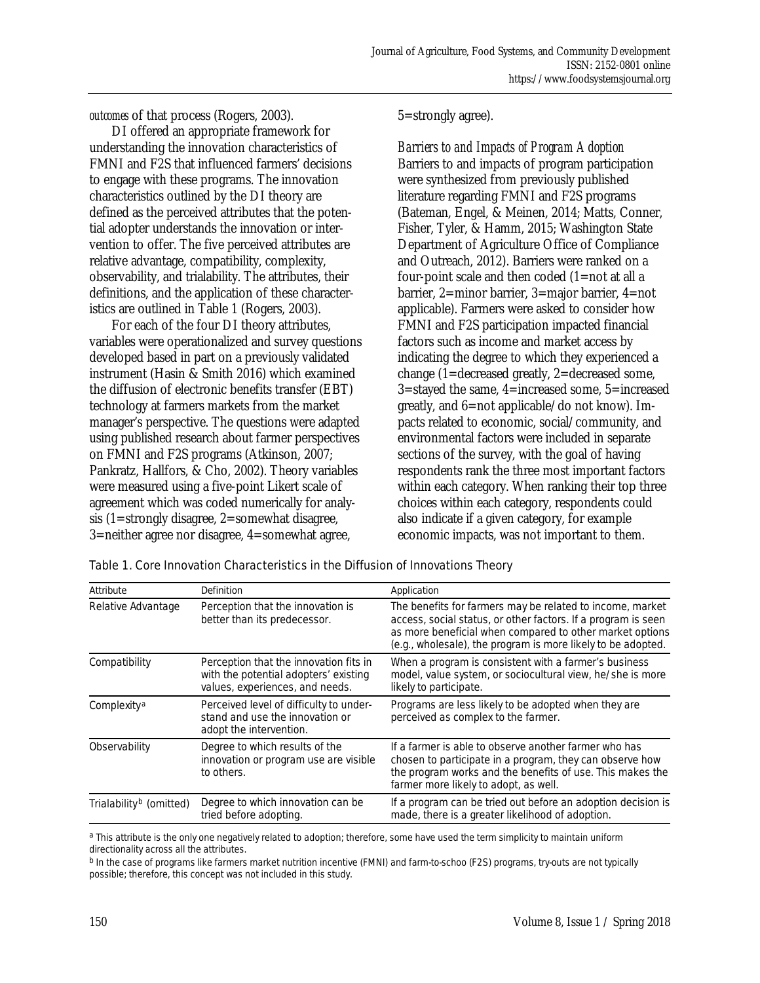*outcomes* of that process (Rogers, 2003).

 DI offered an appropriate framework for understanding the innovation characteristics of FMNI and F2S that influenced farmers' decisions to engage with these programs. The innovation characteristics outlined by the DI theory are defined as the perceived attributes that the potential adopter understands the innovation or intervention to offer. The five perceived attributes are relative advantage, compatibility, complexity, observability, and trialability. The attributes, their definitions, and the application of these characteristics are outlined in Table 1 (Rogers, 2003).

 For each of the four DI theory attributes, variables were operationalized and survey questions developed based in part on a previously validated instrument (Hasin & Smith 2016) which examined the diffusion of electronic benefits transfer (EBT) technology at farmers markets from the market manager's perspective. The questions were adapted using published research about farmer perspectives on FMNI and F2S programs (Atkinson, 2007; Pankratz, Hallfors, & Cho, 2002). Theory variables were measured using a five-point Likert scale of agreement which was coded numerically for analysis (1=strongly disagree, 2=somewhat disagree, 3=neither agree nor disagree, 4=somewhat agree,

5=strongly agree).

*Barriers to and Impacts of Program Adoption*  Barriers to and impacts of program participation were synthesized from previously published literature regarding FMNI and F2S programs (Bateman, Engel, & Meinen, 2014; Matts, Conner, Fisher, Tyler, & Hamm, 2015; Washington State Department of Agriculture Office of Compliance and Outreach, 2012). Barriers were ranked on a four-point scale and then coded (1=not at all a barrier, 2=minor barrier, 3=major barrier, 4=not applicable). Farmers were asked to consider how FMNI and F2S participation impacted financial factors such as income and market access by indicating the degree to which they experienced a change (1=decreased greatly, 2=decreased some, 3=stayed the same, 4=increased some, 5=increased greatly, and 6=not applicable/do not know). Impacts related to economic, social/community, and environmental factors were included in separate sections of the survey, with the goal of having respondents rank the three most important factors within each category. When ranking their top three choices within each category, respondents could also indicate if a given category, for example economic impacts, was not important to them.

| Attribute                           | Definition                                                                                                         | Application                                                                                                                                                                                                                                            |
|-------------------------------------|--------------------------------------------------------------------------------------------------------------------|--------------------------------------------------------------------------------------------------------------------------------------------------------------------------------------------------------------------------------------------------------|
| Relative Advantage                  | Perception that the innovation is<br>better than its predecessor.                                                  | The benefits for farmers may be related to income, market<br>access, social status, or other factors. If a program is seen<br>as more beneficial when compared to other market options<br>(e.g., wholesale), the program is more likely to be adopted. |
| Compatibility                       | Perception that the innovation fits in<br>with the potential adopters' existing<br>values, experiences, and needs. | When a program is consistent with a farmer's business<br>model, value system, or sociocultural view, he/she is more<br>likely to participate.                                                                                                          |
| Complexity <sup>a</sup>             | Perceived level of difficulty to under-<br>stand and use the innovation or<br>adopt the intervention.              | Programs are less likely to be adopted when they are<br>perceived as complex to the farmer.                                                                                                                                                            |
| Observability                       | Degree to which results of the<br>innovation or program use are visible<br>to others.                              | If a farmer is able to observe another farmer who has<br>chosen to participate in a program, they can observe how<br>the program works and the benefits of use. This makes the<br>farmer more likely to adopt, as well.                                |
| Trialability <sup>b</sup> (omitted) | Degree to which innovation can be<br>tried before adopting.                                                        | If a program can be tried out before an adoption decision is<br>made, there is a greater likelihood of adoption.                                                                                                                                       |

Table 1. Core Innovation Characteristics in the Diffusion of Innovations Theory

a This attribute is the only one negatively related to adoption; therefore, some have used the term simplicity to maintain uniform directionality across all the attributes.

b In the case of programs like farmers market nutrition incentive (FMNI) and farm-to-schoo (F2S) programs, try-outs are not typically possible; therefore, this concept was not included in this study.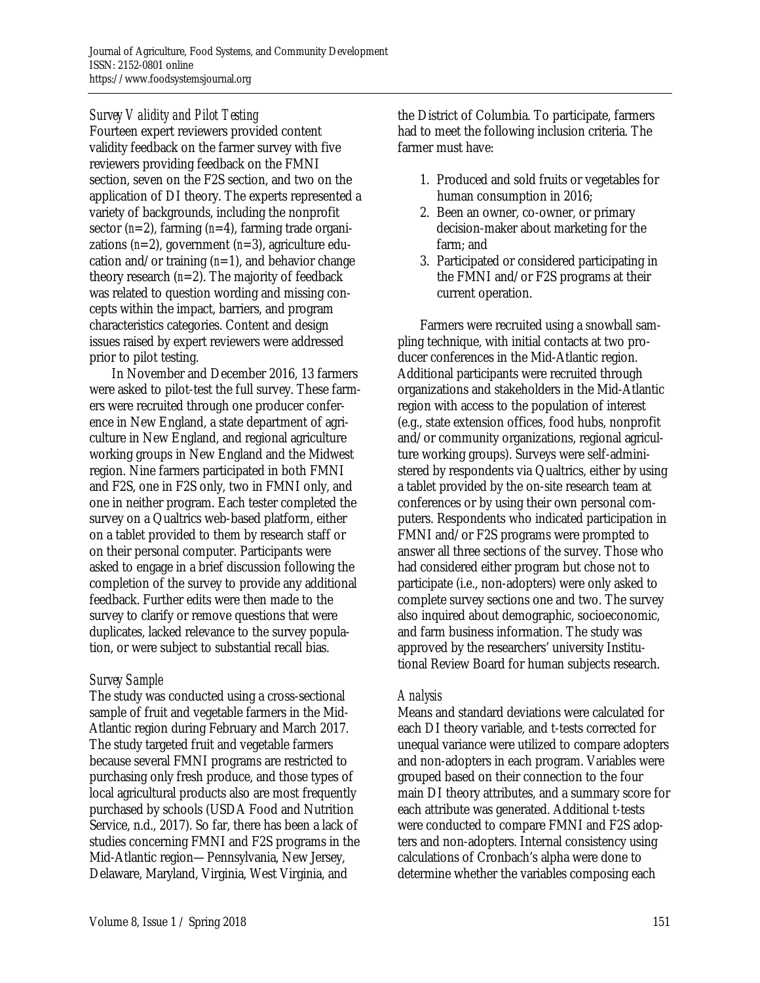### *Survey Validity and Pilot Testing*

Fourteen expert reviewers provided content validity feedback on the farmer survey with five reviewers providing feedback on the FMNI section, seven on the F2S section, and two on the application of DI theory. The experts represented a variety of backgrounds, including the nonprofit sector (*n*=2), farming (*n*=4), farming trade organizations (*n*=2), government (*n*=3), agriculture education and/or training (*n*=1), and behavior change theory research (*n*=2). The majority of feedback was related to question wording and missing concepts within the impact, barriers, and program characteristics categories. Content and design issues raised by expert reviewers were addressed prior to pilot testing.

 In November and December 2016, 13 farmers were asked to pilot-test the full survey. These farmers were recruited through one producer conference in New England, a state department of agriculture in New England, and regional agriculture working groups in New England and the Midwest region. Nine farmers participated in both FMNI and F2S, one in F2S only, two in FMNI only, and one in neither program. Each tester completed the survey on a Qualtrics web-based platform, either on a tablet provided to them by research staff or on their personal computer. Participants were asked to engage in a brief discussion following the completion of the survey to provide any additional feedback. Further edits were then made to the survey to clarify or remove questions that were duplicates, lacked relevance to the survey population, or were subject to substantial recall bias.

#### *Survey Sample*

The study was conducted using a cross-sectional sample of fruit and vegetable farmers in the Mid-Atlantic region during February and March 2017. The study targeted fruit and vegetable farmers because several FMNI programs are restricted to purchasing only fresh produce, and those types of local agricultural products also are most frequently purchased by schools (USDA Food and Nutrition Service, n.d., 2017). So far, there has been a lack of studies concerning FMNI and F2S programs in the Mid-Atlantic region—Pennsylvania, New Jersey, Delaware, Maryland, Virginia, West Virginia, and

the District of Columbia. To participate, farmers had to meet the following inclusion criteria. The farmer must have:

- 1. Produced and sold fruits or vegetables for human consumption in 2016;
- 2. Been an owner, co-owner, or primary decision-maker about marketing for the farm; and
- 3. Participated or considered participating in the FMNI and/or F2S programs at their current operation.

 Farmers were recruited using a snowball sampling technique, with initial contacts at two producer conferences in the Mid-Atlantic region. Additional participants were recruited through organizations and stakeholders in the Mid-Atlantic region with access to the population of interest (e.g., state extension offices, food hubs, nonprofit and/or community organizations, regional agriculture working groups). Surveys were self-administered by respondents via Qualtrics, either by using a tablet provided by the on-site research team at conferences or by using their own personal computers. Respondents who indicated participation in FMNI and/or F2S programs were prompted to answer all three sections of the survey. Those who had considered either program but chose not to participate (i.e., non-adopters) were only asked to complete survey sections one and two. The survey also inquired about demographic, socioeconomic, and farm business information. The study was approved by the researchers' university Institutional Review Board for human subjects research.

### *Analysis*

Means and standard deviations were calculated for each DI theory variable, and t-tests corrected for unequal variance were utilized to compare adopters and non-adopters in each program. Variables were grouped based on their connection to the four main DI theory attributes, and a summary score for each attribute was generated. Additional t-tests were conducted to compare FMNI and F2S adopters and non-adopters. Internal consistency using calculations of Cronbach's alpha were done to determine whether the variables composing each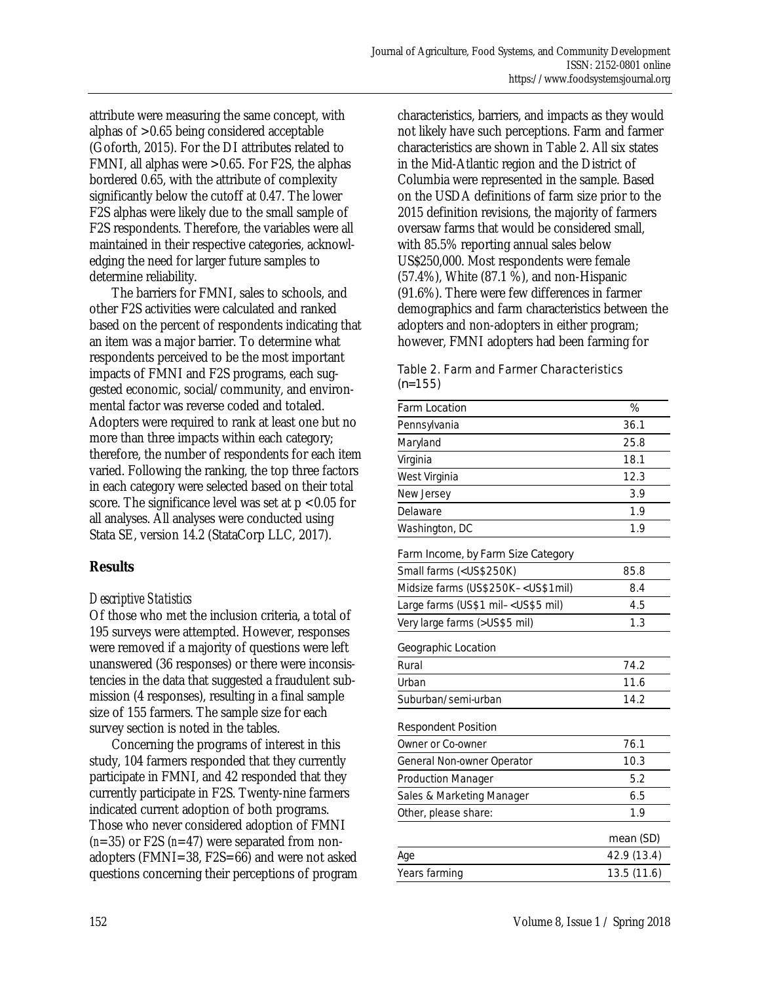attribute were measuring the same concept, with alphas of >0.65 being considered acceptable (Goforth, 2015). For the DI attributes related to FMNI, all alphas were >0.65. For F2S, the alphas bordered 0.65, with the attribute of complexity significantly below the cutoff at 0.47. The lower F2S alphas were likely due to the small sample of F2S respondents. Therefore, the variables were all maintained in their respective categories, acknowledging the need for larger future samples to determine reliability.

 The barriers for FMNI, sales to schools, and other F2S activities were calculated and ranked based on the percent of respondents indicating that an item was a major barrier. To determine what respondents perceived to be the most important impacts of FMNI and F2S programs, each suggested economic, social/community, and environmental factor was reverse coded and totaled. Adopters were required to rank at least one but no more than three impacts within each category; therefore, the number of respondents for each item varied. Following the ranking, the top three factors in each category were selected based on their total score. The significance level was set at  $p < 0.05$  for all analyses. All analyses were conducted using Stata SE, version 14.2 (StataCorp LLC, 2017).

### **Results**

### *Descriptive Statistics*

Of those who met the inclusion criteria, a total of 195 surveys were attempted. However, responses were removed if a majority of questions were left unanswered (36 responses) or there were inconsistencies in the data that suggested a fraudulent submission (4 responses), resulting in a final sample size of 155 farmers. The sample size for each survey section is noted in the tables.

 Concerning the programs of interest in this study, 104 farmers responded that they currently participate in FMNI, and 42 responded that they currently participate in F2S. Twenty-nine farmers indicated current adoption of both programs. Those who never considered adoption of FMNI (*n*=35) or F2S (*n*=47) were separated from nonadopters (FMNI=38, F2S=66) and were not asked questions concerning their perceptions of program characteristics, barriers, and impacts as they would not likely have such perceptions. Farm and farmer characteristics are shown in Table 2. All six states in the Mid-Atlantic region and the District of Columbia were represented in the sample. Based on the USDA definitions of farm size prior to the 2015 definition revisions, the majority of farmers oversaw farms that would be considered small, with 85.5% reporting annual sales below US\$250,000. Most respondents were female (57.4%), White (87.1 %), and non-Hispanic (91.6%). There were few differences in farmer demographics and farm characteristics between the adopters and non-adopters in either program; however, FMNI adopters had been farming for

#### Table 2. Farm and Farmer Characteristics (*n*=155)

| <b>Farm Location</b>                                                 | $\%$        |
|----------------------------------------------------------------------|-------------|
| Pennsylvania                                                         | 36.1        |
| Maryland                                                             | 25.8        |
| Virginia                                                             | 18.1        |
| West Virginia                                                        | 12.3        |
| New Jersey                                                           | 3.9         |
| Delaware                                                             | 1.9         |
| Washington, DC                                                       | 1.9         |
| Farm Income, by Farm Size Category                                   |             |
| Small farms ( <us\$250k)< td=""><td>85.8</td></us\$250k)<>           | 85.8        |
| Midsize farms (US\$250K- <us\$1mil)< td=""><td>8.4</td></us\$1mil)<> | 8.4         |
| Large farms (US\$1 mil- <us\$5 mil)<="" td=""><td>4.5</td></us\$5>   | 4.5         |
| Very large farms (>US\$5 mil)                                        | 1.3         |
| Geographic Location                                                  |             |
| Rural                                                                | 74.2        |
| Urban                                                                | 11.6        |
| Suburban/semi-urban                                                  | 14.2        |
| <b>Respondent Position</b>                                           |             |
| Owner or Co-owner                                                    | 76.1        |
| General Non-owner Operator                                           | 10.3        |
| <b>Production Manager</b>                                            | 5.2         |
| Sales & Marketing Manager                                            | 6.5         |
| Other, please share:                                                 | 1.9         |
|                                                                      | mean (SD)   |
| Age                                                                  | 42.9 (13.4) |
| Years farming                                                        | 13.5 (11.6) |
|                                                                      |             |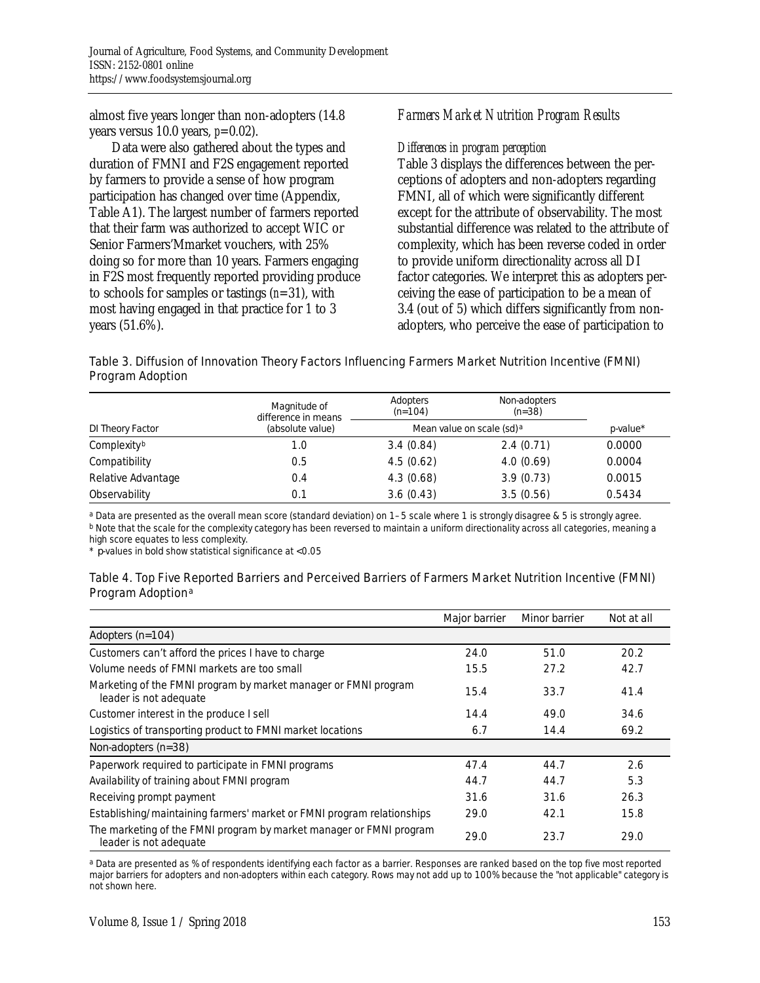almost five years longer than non-adopters (14.8 years versus 10.0 years, *p*=0.02).

 Data were also gathered about the types and duration of FMNI and F2S engagement reported by farmers to provide a sense of how program participation has changed over time (Appendix, Table A1). The largest number of farmers reported that their farm was authorized to accept WIC or Senior Farmers'Mmarket vouchers, with 25% doing so for more than 10 years. Farmers engaging in F2S most frequently reported providing produce to schools for samples or tastings (*n*=31), with most having engaged in that practice for 1 to 3 years (51.6%).

### *Farmers Market Nutrition Program Results*

#### *Differences in program perception*

Table 3 displays the differences between the perceptions of adopters and non-adopters regarding FMNI, all of which were significantly different except for the attribute of observability. The most substantial difference was related to the attribute of complexity, which has been reverse coded in order to provide uniform directionality across all DI factor categories. We interpret this as adopters perceiving the ease of participation to be a mean of 3.4 (out of 5) which differs significantly from nonadopters, who perceive the ease of participation to

#### Table 3. Diffusion of Innovation Theory Factors Influencing Farmers Market Nutrition Incentive (FMNI) Program Adoption

|                    | Magnitude of<br>difference in means | Adopters<br>$(n=104)$ | Non-adopters<br>( <i>n</i> =38) |             |
|--------------------|-------------------------------------|-----------------------|---------------------------------|-------------|
| DI Theory Factor   | (absolute value)                    |                       | Mean value on scale (sd) a      | $p$ -value* |
| Complexityb        | 1.0                                 | 3.4(0.84)             | 2.4(0.71)                       | 0.0000      |
| Compatibility      | 0.5                                 | 4.5(0.62)             | 4.0(0.69)                       | 0.0004      |
| Relative Advantage | 0.4                                 | 4.3(0.68)             | 3.9(0.73)                       | 0.0015      |
| Observability      | 0.1                                 | 3.6(0.43)             | 3.5(0.56)                       | 0.5434      |

a Data are presented as the overall mean score (standard deviation) on 1–5 scale where 1 is strongly disagree & 5 is strongly agree. b Note that the scale for the complexity category has been reversed to maintain a uniform directionality across all categories, meaning a high score equates to less complexity.

\* *p*-values in bold show statistical significance at <0.05

#### Table 4. Top Five Reported Barriers and Perceived Barriers of Farmers Market Nutrition Incentive (FMNI) Program Adoption<sup>a</sup>

|                                                                                               | Major barrier | Minor barrier | Not at all |
|-----------------------------------------------------------------------------------------------|---------------|---------------|------------|
| Adopters $(n=104)$                                                                            |               |               |            |
| Customers can't afford the prices I have to charge                                            | 24.0          | 51.0          | 20.2       |
| Volume needs of FMNI markets are too small                                                    | 15.5          | 27.2          | 42.7       |
| Marketing of the FMNI program by market manager or FMNI program<br>leader is not adequate     | 15.4          | 33.7          | 41.4       |
| Customer interest in the produce I sell                                                       | 14.4          | 49.0          | 34.6       |
| Logistics of transporting product to FMNI market locations                                    | 6.7           | 14.4          | 69.2       |
| Non-adopters $(n=38)$                                                                         |               |               |            |
| Paperwork required to participate in FMNI programs                                            | 47.4          | 44.7          | 2.6        |
| Availability of training about FMNI program                                                   | 44.7          | 44.7          | 5.3        |
| Receiving prompt payment                                                                      | 31.6          | 31.6          | 26.3       |
| Establishing/maintaining farmers' market or FMNI program relationships                        | 29.0          | 42.1          | 15.8       |
| The marketing of the FMNI program by market manager or FMNI program<br>leader is not adequate | 29.0          | 23.7          | 29.0       |

a Data are presented as % of respondents identifying each factor as a barrier. Responses are ranked based on the top five most reported major barriers for adopters and non-adopters within each category. Rows may not add up to 100% because the "not applicable" category is not shown here.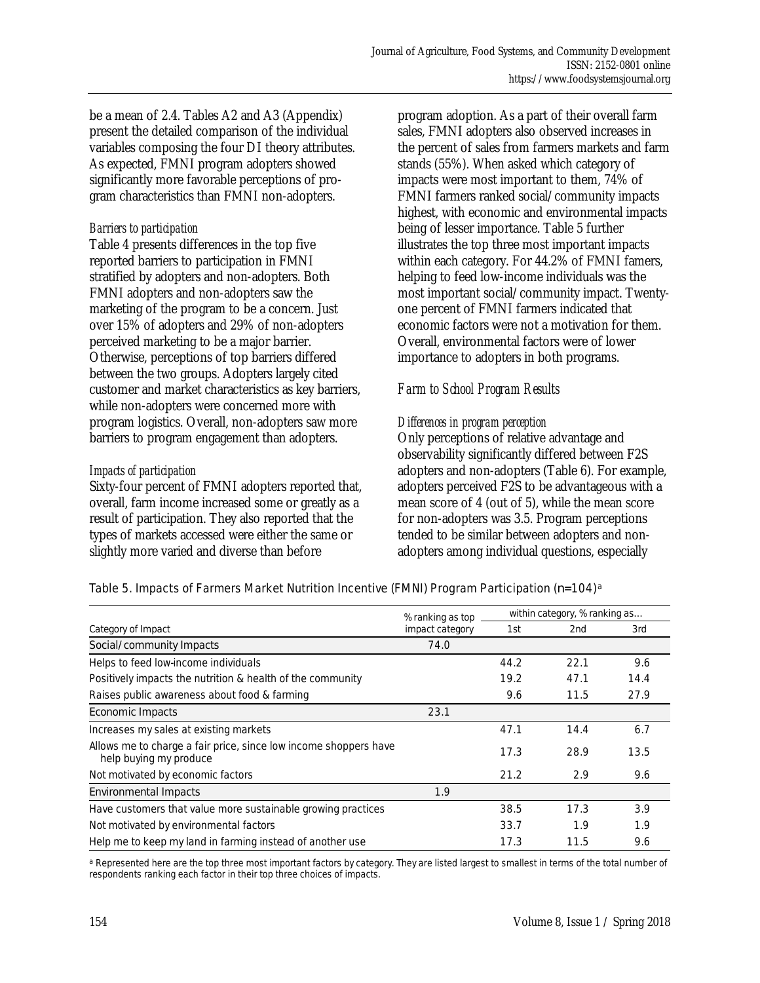be a mean of 2.4. Tables A2 and A3 (Appendix) present the detailed comparison of the individual variables composing the four DI theory attributes. As expected, FMNI program adopters showed significantly more favorable perceptions of program characteristics than FMNI non-adopters.

### *Barriers to participation*

Table 4 presents differences in the top five reported barriers to participation in FMNI stratified by adopters and non-adopters. Both FMNI adopters and non-adopters saw the marketing of the program to be a concern. Just over 15% of adopters and 29% of non-adopters perceived marketing to be a major barrier. Otherwise, perceptions of top barriers differed between the two groups. Adopters largely cited customer and market characteristics as key barriers, while non-adopters were concerned more with program logistics. Overall, non-adopters saw more barriers to program engagement than adopters.

#### *Impacts of participation*

Sixty-four percent of FMNI adopters reported that, overall, farm income increased some or greatly as a result of participation. They also reported that the types of markets accessed were either the same or slightly more varied and diverse than before

program adoption. As a part of their overall farm sales, FMNI adopters also observed increases in the percent of sales from farmers markets and farm stands (55%). When asked which category of impacts were most important to them, 74% of FMNI farmers ranked social/community impacts highest, with economic and environmental impacts being of lesser importance. Table 5 further illustrates the top three most important impacts within each category. For 44.2% of FMNI famers, helping to feed low-income individuals was the most important social/community impact. Twentyone percent of FMNI farmers indicated that economic factors were not a motivation for them. Overall, environmental factors were of lower importance to adopters in both programs.

### *Farm to School Program Results*

#### *Differences in program perception*

Only perceptions of relative advantage and observability significantly differed between F2S adopters and non-adopters (Table 6). For example, adopters perceived F2S to be advantageous with a mean score of 4 (out of 5), while the mean score for non-adopters was 3.5. Program perceptions tended to be similar between adopters and nonadopters among individual questions, especially

#### Table 5. Impacts of Farmers Market Nutrition Incentive (FMNI) Program Participation (*n*=104)a

|                                                                                            | % ranking as top       | within category, % ranking as |      |      |
|--------------------------------------------------------------------------------------------|------------------------|-------------------------------|------|------|
| Category of Impact                                                                         | <i>impact category</i> | 1st                           | 2nd  | 3rd  |
| Social/community Impacts                                                                   | 74.0                   |                               |      |      |
| Helps to feed low-income individuals                                                       |                        | 44.2                          | 22.1 | 9.6  |
| Positively impacts the nutrition & health of the community                                 |                        | 19.2                          | 47.1 | 14.4 |
| Raises public awareness about food & farming                                               |                        | 9.6                           | 11.5 | 27.9 |
| Economic Impacts                                                                           | 23.1                   |                               |      |      |
| Increases my sales at existing markets                                                     |                        | 47.1                          | 14.4 | 6.7  |
| Allows me to charge a fair price, since low income shoppers have<br>help buying my produce |                        | 17.3                          | 28.9 | 13.5 |
| Not motivated by economic factors                                                          |                        | 21.2                          | 2.9  | 9.6  |
| Environmental Impacts                                                                      | 1.9                    |                               |      |      |
| Have customers that value more sustainable growing practices                               |                        | 38.5                          | 17.3 | 3.9  |
| Not motivated by environmental factors                                                     |                        | 33.7                          | 1.9  | 1.9  |
| Help me to keep my land in farming instead of another use                                  |                        | 17.3                          | 11.5 | 9.6  |

a Represented here are the top three most important factors by category. They are listed largest to smallest in terms of the total number of respondents ranking each factor in their top three choices of impacts.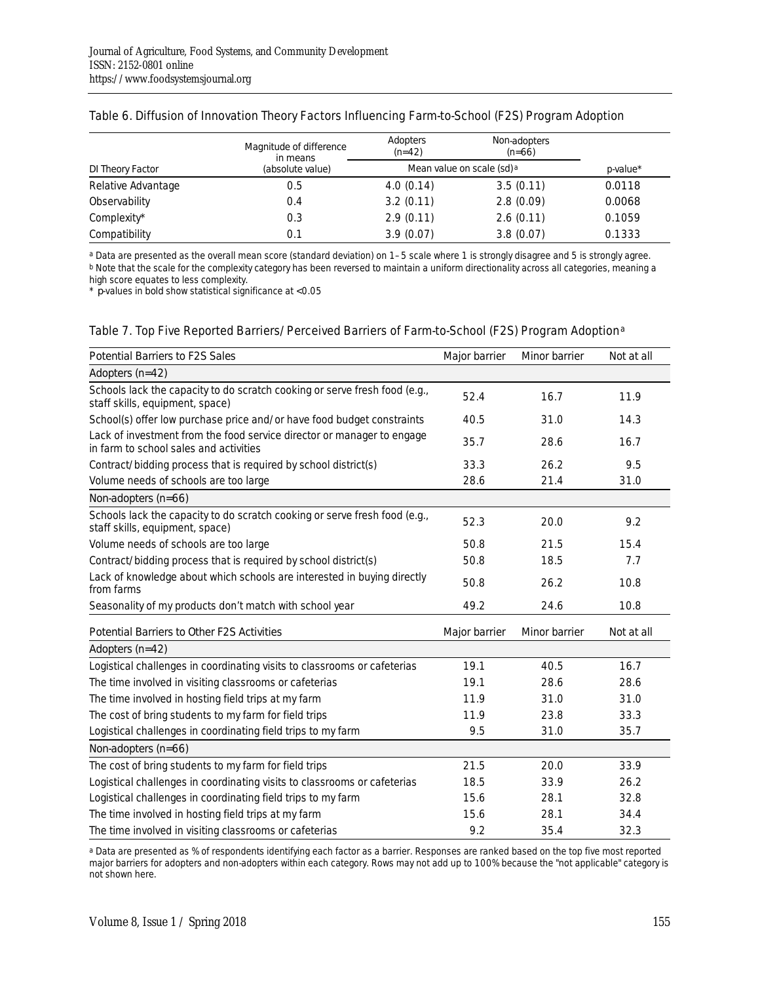|                    | Magnitude of difference<br>in means | Adopters<br>$(n=42)$ | Non-adopters<br>$(n=66)$   |             |
|--------------------|-------------------------------------|----------------------|----------------------------|-------------|
| DI Theory Factor   | (absolute value)                    |                      | Mean value on scale (sd) a | $p$ -value* |
| Relative Advantage | 0.5                                 | 4.0(0.14)            | 3.5(0.11)                  | 0.0118      |
| Observability      | 0.4                                 | 3.2(0.11)            | 2.8(0.09)                  | 0.0068      |
| Complexity*        | 0.3                                 | 2.9(0.11)            | 2.6(0.11)                  | 0.1059      |
| Compatibility      | 0.1                                 | 3.9(0.07)            | 3.8(0.07)                  | 0.1333      |

#### Table 6. Diffusion of Innovation Theory Factors Influencing Farm-to-School (F2S) Program Adoption

a Data are presented as the overall mean score (standard deviation) on 1–5 scale where 1 is strongly disagree and 5 is strongly agree. b Note that the scale for the complexity category has been reversed to maintain a uniform directionality across all categories, meaning a high score equates to less complexity.

\* *p*-values in bold show statistical significance at <0.05

#### Table 7. Top Five Reported Barriers/Perceived Barriers of Farm-to-School (F2S) Program Adoption<sup>a</sup>

| Potential Barriers to F2S Sales                                                                                  | Major barrier | Minor barrier | Not at all |
|------------------------------------------------------------------------------------------------------------------|---------------|---------------|------------|
| Adopters $(n=42)$                                                                                                |               |               |            |
| Schools lack the capacity to do scratch cooking or serve fresh food (e.g.,<br>staff skills, equipment, space)    | 52.4          | 16.7          | 11.9       |
| School(s) offer low purchase price and/or have food budget constraints                                           | 40.5          | 31.0          | 14.3       |
| Lack of investment from the food service director or manager to engage<br>in farm to school sales and activities | 35.7          | 28.6          | 16.7       |
| Contract/bidding process that is required by school district(s)                                                  | 33.3          | 26.2          | 9.5        |
| Volume needs of schools are too large                                                                            | 28.6          | 21.4          | 31.0       |
| Non-adopters (n=66)                                                                                              |               |               |            |
| Schools lack the capacity to do scratch cooking or serve fresh food (e.g.,<br>staff skills, equipment, space)    | 52.3          | 20.0          | 9.2        |
| Volume needs of schools are too large                                                                            | 50.8          | 21.5          | 15.4       |
| Contract/bidding process that is required by school district(s)                                                  | 50.8          | 18.5          | 7.7        |
| Lack of knowledge about which schools are interested in buying directly<br>from farms                            | 50.8          | 26.2          | 10.8       |
| Seasonality of my products don't match with school year                                                          | 49.2          | 24.6          | 10.8       |
| Potential Barriers to Other F2S Activities                                                                       | Major barrier | Minor barrier | Not at all |
| Adopters $(n=42)$                                                                                                |               |               |            |
| Logistical challenges in coordinating visits to classrooms or cafeterias                                         | 19.1          | 40.5          | 16.7       |
| The time involved in visiting classrooms or cafeterias                                                           | 19.1          | 28.6          | 28.6       |
| The time involved in hosting field trips at my farm                                                              | 11.9          | 31.0          | 31.0       |
| The cost of bring students to my farm for field trips                                                            | 11.9          | 23.8          | 33.3       |
| Logistical challenges in coordinating field trips to my farm                                                     | 9.5           | 31.0          | 35.7       |
| Non-adopters (n=66)                                                                                              |               |               |            |
| The cost of bring students to my farm for field trips                                                            | 21.5          | 20.0          | 33.9       |
| Logistical challenges in coordinating visits to classrooms or cafeterias                                         | 18.5          | 33.9          | 26.2       |
| Logistical challenges in coordinating field trips to my farm                                                     | 15.6          | 28.1          | 32.8       |
| The time involved in hosting field trips at my farm                                                              | 15.6          | 28.1          | 34.4       |
| The time involved in visiting classrooms or cafeterias                                                           | 9.2           | 35.4          | 32.3       |

a Data are presented as % of respondents identifying each factor as a barrier. Responses are ranked based on the top five most reported major barriers for adopters and non-adopters within each category. Rows may not add up to 100% because the "not applicable" category is not shown here.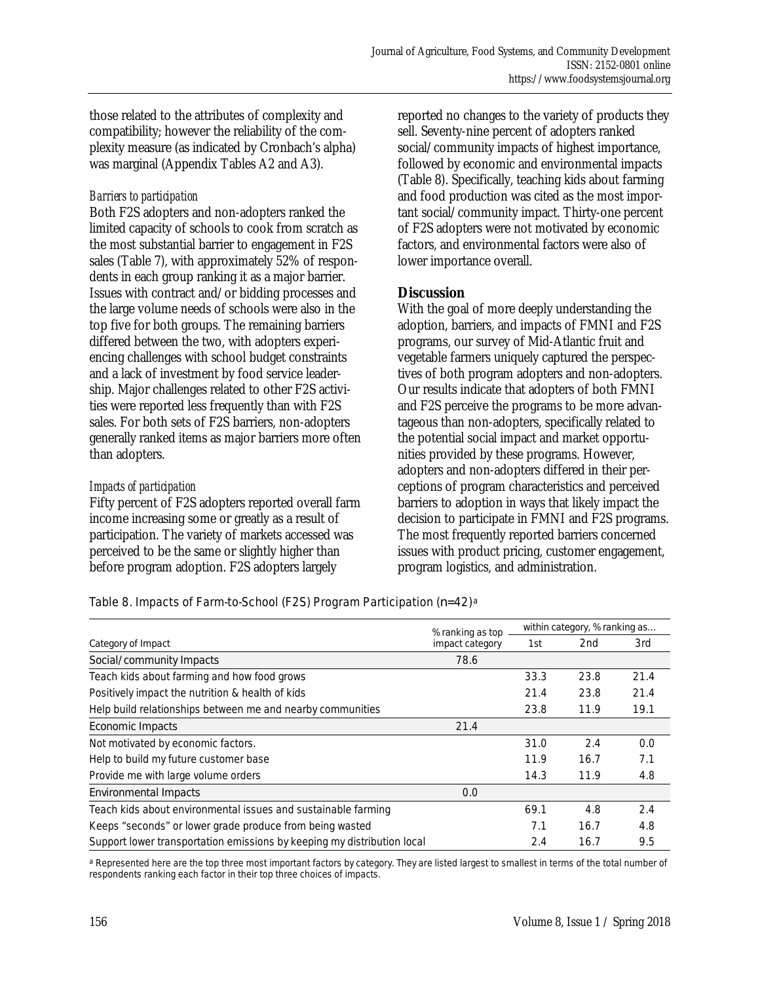those related to the attributes of complexity and compatibility; however the reliability of the complexity measure (as indicated by Cronbach's alpha) was marginal (Appendix Tables A2 and A3).

#### *Barriers to participation*

Both F2S adopters and non-adopters ranked the limited capacity of schools to cook from scratch as the most substantial barrier to engagement in F2S sales (Table 7), with approximately 52% of respondents in each group ranking it as a major barrier. Issues with contract and/or bidding processes and the large volume needs of schools were also in the top five for both groups. The remaining barriers differed between the two, with adopters experiencing challenges with school budget constraints and a lack of investment by food service leadership. Major challenges related to other F2S activities were reported less frequently than with F2S sales. For both sets of F2S barriers, non-adopters generally ranked items as major barriers more often than adopters.

#### *Impacts of participation*

Fifty percent of F2S adopters reported overall farm income increasing some or greatly as a result of participation. The variety of markets accessed was perceived to be the same or slightly higher than before program adoption. F2S adopters largely

reported no changes to the variety of products they sell. Seventy-nine percent of adopters ranked social/community impacts of highest importance, followed by economic and environmental impacts (Table 8). Specifically, teaching kids about farming and food production was cited as the most important social/community impact. Thirty-one percent of F2S adopters were not motivated by economic factors, and environmental factors were also of lower importance overall.

### **Discussion**

With the goal of more deeply understanding the adoption, barriers, and impacts of FMNI and F2S programs, our survey of Mid-Atlantic fruit and vegetable farmers uniquely captured the perspectives of both program adopters and non-adopters. Our results indicate that adopters of both FMNI and F2S perceive the programs to be more advantageous than non-adopters, specifically related to the potential social impact and market opportunities provided by these programs. However, adopters and non-adopters differed in their perceptions of program characteristics and perceived barriers to adoption in ways that likely impact the decision to participate in FMNI and F2S programs. The most frequently reported barriers concerned issues with product pricing, customer engagement, program logistics, and administration.

#### Table 8. Impacts of Farm-to-School (F2S) Program Participation (*n*=42)a

|                                                                         | % ranking as top       | within category, % ranking as |                 |      |
|-------------------------------------------------------------------------|------------------------|-------------------------------|-----------------|------|
| Category of Impact                                                      | <i>impact category</i> | 1st                           | 2 <sub>nd</sub> | 3rd  |
| Social/community Impacts                                                | 78.6                   |                               |                 |      |
| Teach kids about farming and how food grows                             |                        | 33.3                          | 23.8            | 21.4 |
| Positively impact the nutrition & health of kids                        |                        | 21.4                          | 23.8            | 21.4 |
| Help build relationships between me and nearby communities              |                        | 23.8                          | 11.9            | 19.1 |
| Economic Impacts                                                        | 21.4                   |                               |                 |      |
| Not motivated by economic factors.                                      |                        | 31.0                          | 2.4             | 0.0  |
| Help to build my future customer base                                   |                        | 11.9                          | 16.7            | 7.1  |
| Provide me with large volume orders                                     |                        | 14.3                          | 11.9            | 4.8  |
| Environmental Impacts                                                   | 0.0                    |                               |                 |      |
| Teach kids about environmental issues and sustainable farming           |                        | 69.1                          | 4.8             | 2.4  |
| Keeps "seconds" or lower grade produce from being wasted                |                        | 7.1                           | 16.7            | 4.8  |
| Support lower transportation emissions by keeping my distribution local |                        | 2.4                           | 16.7            | 9.5  |

a Represented here are the top three most important factors by category. They are listed largest to smallest in terms of the total number of respondents ranking each factor in their top three choices of impacts.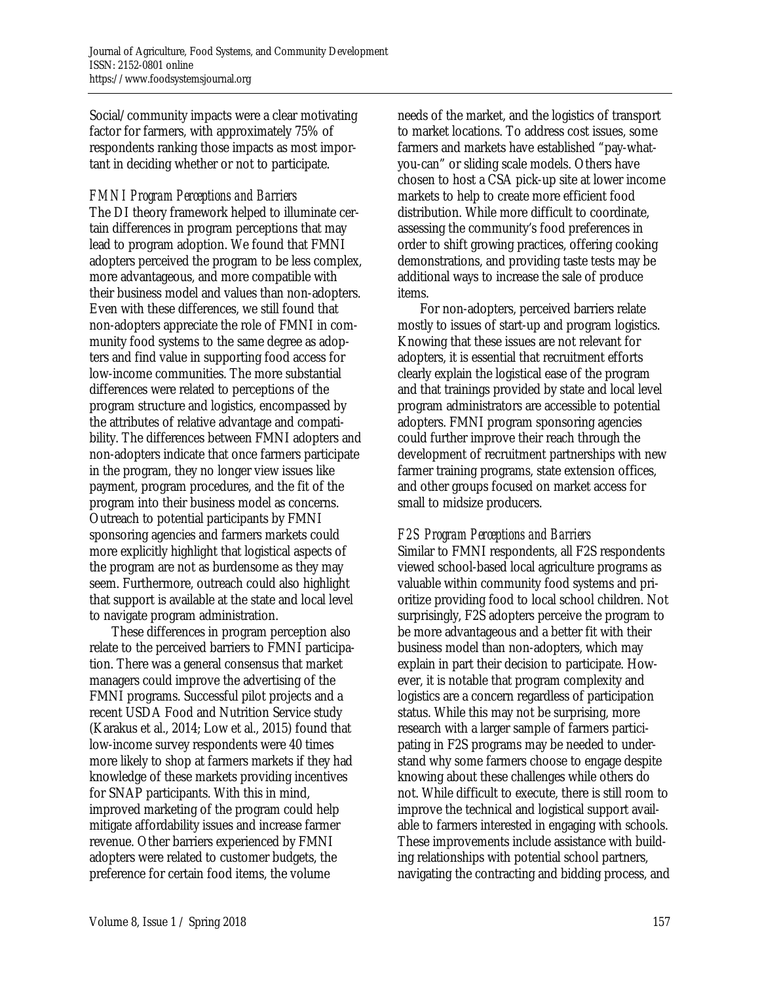Social/community impacts were a clear motivating factor for farmers, with approximately 75% of respondents ranking those impacts as most important in deciding whether or not to participate.

#### *FMNI Program Perceptions and Barriers*

The DI theory framework helped to illuminate certain differences in program perceptions that may lead to program adoption. We found that FMNI adopters perceived the program to be less complex, more advantageous, and more compatible with their business model and values than non-adopters. Even with these differences, we still found that non-adopters appreciate the role of FMNI in community food systems to the same degree as adopters and find value in supporting food access for low-income communities. The more substantial differences were related to perceptions of the program structure and logistics, encompassed by the attributes of relative advantage and compatibility. The differences between FMNI adopters and non-adopters indicate that once farmers participate in the program, they no longer view issues like payment, program procedures, and the fit of the program into their business model as concerns. Outreach to potential participants by FMNI sponsoring agencies and farmers markets could more explicitly highlight that logistical aspects of the program are not as burdensome as they may seem. Furthermore, outreach could also highlight that support is available at the state and local level to navigate program administration.

 These differences in program perception also relate to the perceived barriers to FMNI participation. There was a general consensus that market managers could improve the advertising of the FMNI programs. Successful pilot projects and a recent USDA Food and Nutrition Service study (Karakus et al., 2014; Low et al., 2015) found that low-income survey respondents were 40 times more likely to shop at farmers markets if they had knowledge of these markets providing incentives for SNAP participants. With this in mind, improved marketing of the program could help mitigate affordability issues and increase farmer revenue. Other barriers experienced by FMNI adopters were related to customer budgets, the preference for certain food items, the volume

needs of the market, and the logistics of transport to market locations. To address cost issues, some farmers and markets have established "pay-whatyou-can" or sliding scale models. Others have chosen to host a CSA pick-up site at lower income markets to help to create more efficient food distribution. While more difficult to coordinate, assessing the community's food preferences in order to shift growing practices, offering cooking demonstrations, and providing taste tests may be additional ways to increase the sale of produce items.

 For non-adopters, perceived barriers relate mostly to issues of start-up and program logistics. Knowing that these issues are not relevant for adopters, it is essential that recruitment efforts clearly explain the logistical ease of the program and that trainings provided by state and local level program administrators are accessible to potential adopters. FMNI program sponsoring agencies could further improve their reach through the development of recruitment partnerships with new farmer training programs, state extension offices, and other groups focused on market access for small to midsize producers.

#### *F2S Program Perceptions and Barriers*

Similar to FMNI respondents, all F2S respondents viewed school-based local agriculture programs as valuable within community food systems and prioritize providing food to local school children. Not surprisingly, F2S adopters perceive the program to be more advantageous and a better fit with their business model than non-adopters, which may explain in part their decision to participate. However, it is notable that program complexity and logistics are a concern regardless of participation status. While this may not be surprising, more research with a larger sample of farmers participating in F2S programs may be needed to understand why some farmers choose to engage despite knowing about these challenges while others do not. While difficult to execute, there is still room to improve the technical and logistical support available to farmers interested in engaging with schools. These improvements include assistance with building relationships with potential school partners, navigating the contracting and bidding process, and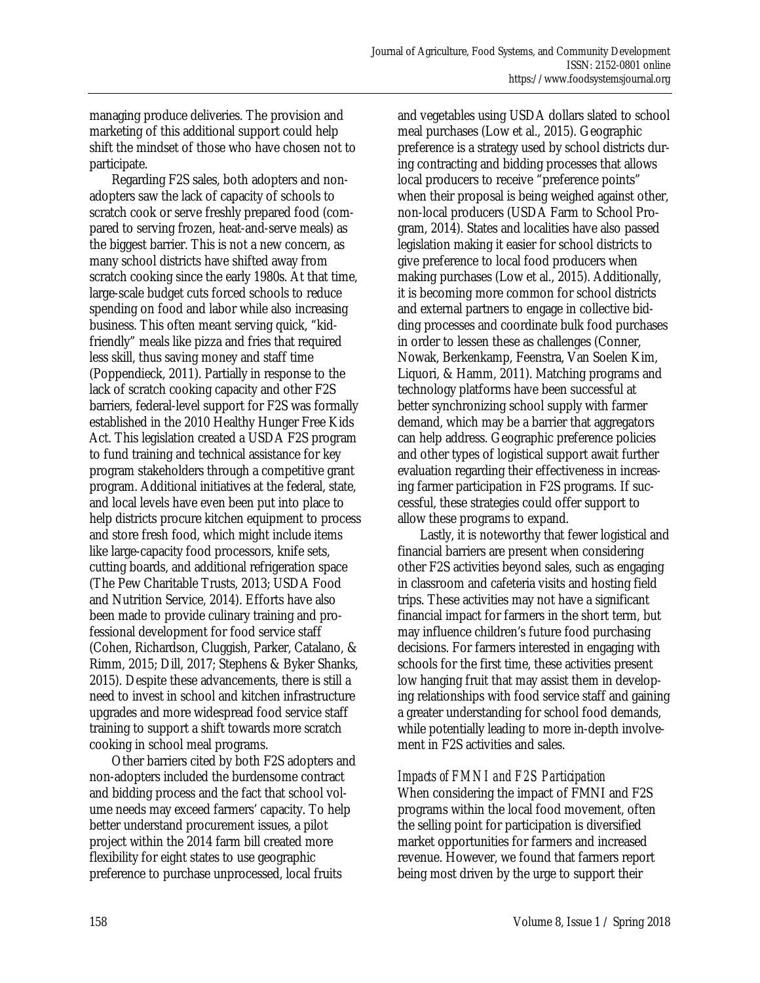managing produce deliveries. The provision and marketing of this additional support could help shift the mindset of those who have chosen not to participate.

 Regarding F2S sales, both adopters and nonadopters saw the lack of capacity of schools to scratch cook or serve freshly prepared food (compared to serving frozen, heat-and-serve meals) as the biggest barrier. This is not a new concern, as many school districts have shifted away from scratch cooking since the early 1980s. At that time, large-scale budget cuts forced schools to reduce spending on food and labor while also increasing business. This often meant serving quick, "kidfriendly" meals like pizza and fries that required less skill, thus saving money and staff time (Poppendieck, 2011). Partially in response to the lack of scratch cooking capacity and other F2S barriers, federal-level support for F2S was formally established in the 2010 Healthy Hunger Free Kids Act. This legislation created a USDA F2S program to fund training and technical assistance for key program stakeholders through a competitive grant program. Additional initiatives at the federal, state, and local levels have even been put into place to help districts procure kitchen equipment to process and store fresh food, which might include items like large-capacity food processors, knife sets, cutting boards, and additional refrigeration space (The Pew Charitable Trusts, 2013; USDA Food and Nutrition Service, 2014). Efforts have also been made to provide culinary training and professional development for food service staff (Cohen, Richardson, Cluggish, Parker, Catalano, & Rimm, 2015; Dill, 2017; Stephens & Byker Shanks, 2015). Despite these advancements, there is still a need to invest in school and kitchen infrastructure upgrades and more widespread food service staff training to support a shift towards more scratch cooking in school meal programs.

 Other barriers cited by both F2S adopters and non-adopters included the burdensome contract and bidding process and the fact that school volume needs may exceed farmers' capacity. To help better understand procurement issues, a pilot project within the 2014 farm bill created more flexibility for eight states to use geographic preference to purchase unprocessed, local fruits

and vegetables using USDA dollars slated to school meal purchases (Low et al., 2015). Geographic preference is a strategy used by school districts during contracting and bidding processes that allows local producers to receive "preference points" when their proposal is being weighed against other, non-local producers (USDA Farm to School Program, 2014). States and localities have also passed legislation making it easier for school districts to give preference to local food producers when making purchases (Low et al., 2015). Additionally, it is becoming more common for school districts and external partners to engage in collective bidding processes and coordinate bulk food purchases in order to lessen these as challenges (Conner, Nowak, Berkenkamp, Feenstra, Van Soelen Kim, Liquori, & Hamm, 2011). Matching programs and technology platforms have been successful at better synchronizing school supply with farmer demand, which may be a barrier that aggregators can help address. Geographic preference policies and other types of logistical support await further evaluation regarding their effectiveness in increasing farmer participation in F2S programs. If successful, these strategies could offer support to allow these programs to expand.

 Lastly, it is noteworthy that fewer logistical and financial barriers are present when considering other F2S activities beyond sales, such as engaging in classroom and cafeteria visits and hosting field trips. These activities may not have a significant financial impact for farmers in the short term, but may influence children's future food purchasing decisions. For farmers interested in engaging with schools for the first time, these activities present low hanging fruit that may assist them in developing relationships with food service staff and gaining a greater understanding for school food demands, while potentially leading to more in-depth involvement in F2S activities and sales.

### *Impacts of FMNI and F2S Participation*

When considering the impact of FMNI and F2S programs within the local food movement, often the selling point for participation is diversified market opportunities for farmers and increased revenue. However, we found that farmers report being most driven by the urge to support their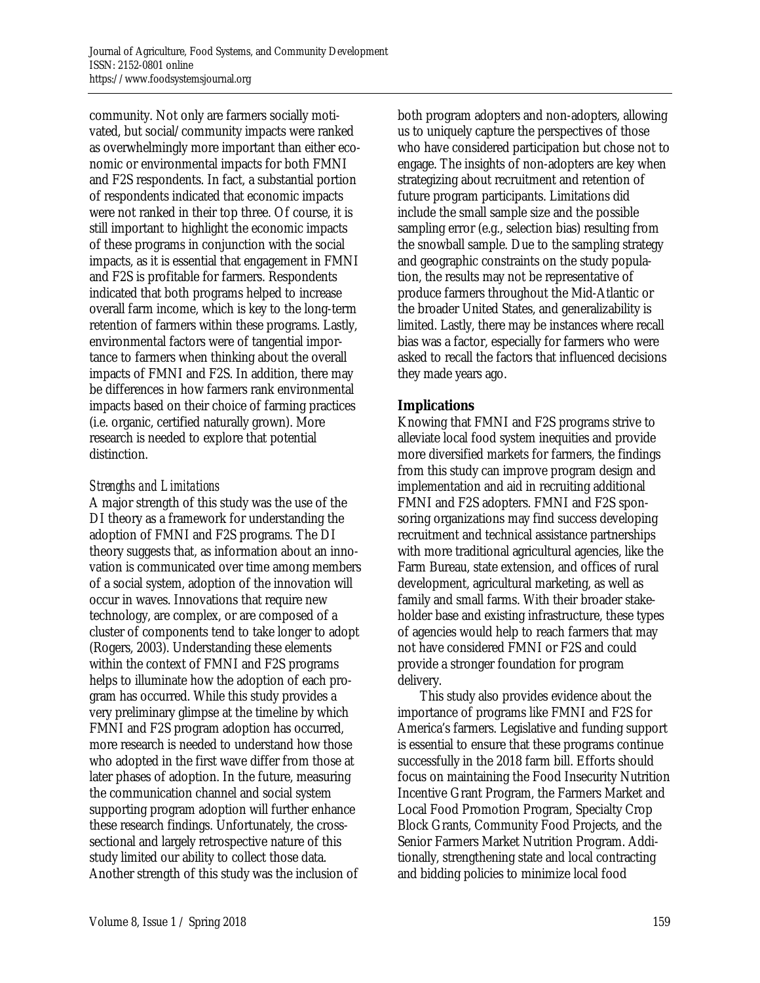community. Not only are farmers socially motivated, but social/community impacts were ranked as overwhelmingly more important than either economic or environmental impacts for both FMNI and F2S respondents. In fact, a substantial portion of respondents indicated that economic impacts were not ranked in their top three. Of course, it is still important to highlight the economic impacts of these programs in conjunction with the social impacts, as it is essential that engagement in FMNI and F2S is profitable for farmers. Respondents indicated that both programs helped to increase overall farm income, which is key to the long-term retention of farmers within these programs. Lastly, environmental factors were of tangential importance to farmers when thinking about the overall impacts of FMNI and F2S. In addition, there may be differences in how farmers rank environmental impacts based on their choice of farming practices (i.e. organic, certified naturally grown). More research is needed to explore that potential distinction.

### *Strengths and Limitations*

A major strength of this study was the use of the DI theory as a framework for understanding the adoption of FMNI and F2S programs. The DI theory suggests that, as information about an innovation is communicated over time among members of a social system, adoption of the innovation will occur in waves. Innovations that require new technology, are complex, or are composed of a cluster of components tend to take longer to adopt (Rogers, 2003). Understanding these elements within the context of FMNI and F2S programs helps to illuminate how the adoption of each program has occurred. While this study provides a very preliminary glimpse at the timeline by which FMNI and F2S program adoption has occurred, more research is needed to understand how those who adopted in the first wave differ from those at later phases of adoption. In the future, measuring the communication channel and social system supporting program adoption will further enhance these research findings. Unfortunately, the crosssectional and largely retrospective nature of this study limited our ability to collect those data. Another strength of this study was the inclusion of

both program adopters and non-adopters, allowing us to uniquely capture the perspectives of those who have considered participation but chose not to engage. The insights of non-adopters are key when strategizing about recruitment and retention of future program participants. Limitations did include the small sample size and the possible sampling error (e.g., selection bias) resulting from the snowball sample. Due to the sampling strategy and geographic constraints on the study population, the results may not be representative of produce farmers throughout the Mid-Atlantic or the broader United States, and generalizability is limited. Lastly, there may be instances where recall bias was a factor, especially for farmers who were asked to recall the factors that influenced decisions they made years ago.

## **Implications**

Knowing that FMNI and F2S programs strive to alleviate local food system inequities and provide more diversified markets for farmers, the findings from this study can improve program design and implementation and aid in recruiting additional FMNI and F2S adopters. FMNI and F2S sponsoring organizations may find success developing recruitment and technical assistance partnerships with more traditional agricultural agencies, like the Farm Bureau, state extension, and offices of rural development, agricultural marketing, as well as family and small farms. With their broader stakeholder base and existing infrastructure, these types of agencies would help to reach farmers that may not have considered FMNI or F2S and could provide a stronger foundation for program delivery.

 This study also provides evidence about the importance of programs like FMNI and F2S for America's farmers. Legislative and funding support is essential to ensure that these programs continue successfully in the 2018 farm bill. Efforts should focus on maintaining the Food Insecurity Nutrition Incentive Grant Program, the Farmers Market and Local Food Promotion Program, Specialty Crop Block Grants, Community Food Projects, and the Senior Farmers Market Nutrition Program. Additionally, strengthening state and local contracting and bidding policies to minimize local food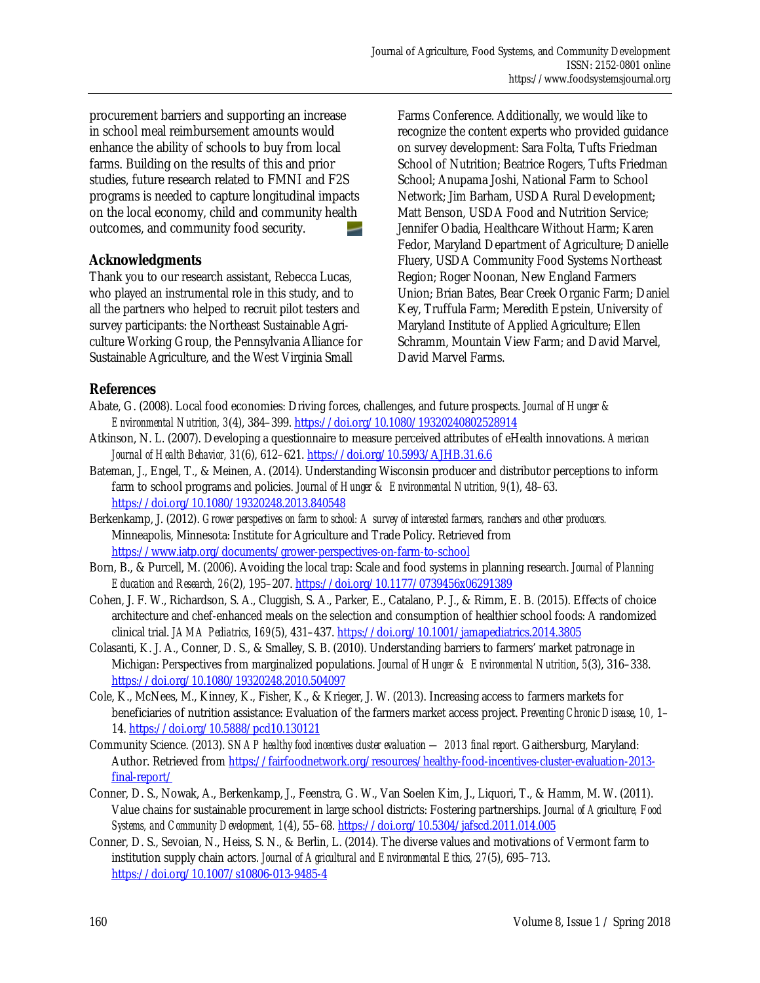procurement barriers and supporting an increase in school meal reimbursement amounts would enhance the ability of schools to buy from local farms. Building on the results of this and prior studies, future research related to FMNI and F2S programs is needed to capture longitudinal impacts on the local economy, child and community health outcomes, and community food security.

### **Acknowledgments**

Thank you to our research assistant, Rebecca Lucas, who played an instrumental role in this study, and to all the partners who helped to recruit pilot testers and survey participants: the Northeast Sustainable Agriculture Working Group, the Pennsylvania Alliance for Sustainable Agriculture, and the West Virginia Small

Farms Conference. Additionally, we would like to recognize the content experts who provided guidance on survey development: Sara Folta, Tufts Friedman School of Nutrition; Beatrice Rogers, Tufts Friedman School; Anupama Joshi, National Farm to School Network; Jim Barham, USDA Rural Development; Matt Benson, USDA Food and Nutrition Service; Jennifer Obadia, Healthcare Without Harm; Karen Fedor, Maryland Department of Agriculture; Danielle Fluery, USDA Community Food Systems Northeast Region; Roger Noonan, New England Farmers Union; Brian Bates, Bear Creek Organic Farm; Daniel Key, Truffula Farm; Meredith Epstein, University of Maryland Institute of Applied Agriculture; Ellen Schramm, Mountain View Farm; and David Marvel, David Marvel Farms.

### **References**

- Abate, G. (2008). Local food economies: Driving forces, challenges, and future prospects. *Journal of Hunger & Environmental Nutrition, 3*(4), 384–399. https://doi.org/10.1080/19320240802528914
- Atkinson, N. L. (2007). Developing a questionnaire to measure perceived attributes of eHealth innovations. *American Journal of Health Behavior, 31*(6), 612–621. https://doi.org/10.5993/AJHB.31.6.6
- Bateman, J., Engel, T., & Meinen, A. (2014). Understanding Wisconsin producer and distributor perceptions to inform farm to school programs and policies. *Journal of Hunger & Environmental Nutrition, 9*(1), 48–63. https://doi.org/10.1080/19320248.2013.840548
- Berkenkamp, J. (2012). *Grower perspectives on farm to school: A survey of interested farmers, ranchers and other producers.* Minneapolis, Minnesota: Institute for Agriculture and Trade Policy. Retrieved from https://www.iatp.org/documents/grower-perspectives-on-farm-to-school
- Born, B., & Purcell, M. (2006). Avoiding the local trap: Scale and food systems in planning research. *Journal of Planning Education and Research*, *26*(2), 195–207. https://doi.org/10.1177/0739456x06291389
- Cohen, J. F. W., Richardson, S. A., Cluggish, S. A., Parker, E., Catalano, P. J., & Rimm, E. B. (2015). Effects of choice architecture and chef-enhanced meals on the selection and consumption of healthier school foods: A randomized clinical trial. *JAMA Pediatrics*, *169*(5), 431–437. https://doi.org/10.1001/jamapediatrics.2014.3805
- Colasanti, K. J. A., Conner, D. S., & Smalley, S. B. (2010). Understanding barriers to farmers' market patronage in Michigan: Perspectives from marginalized populations. *Journal of Hunger & Environmental Nutrition*, *5*(3), 316–338. https://doi.org/10.1080/19320248.2010.504097
- Cole, K., McNees, M., Kinney, K., Fisher, K., & Krieger, J. W. (2013). Increasing access to farmers markets for beneficiaries of nutrition assistance: Evaluation of the farmers market access project. *Preventing Chronic Disease*, *10,* 1– 14. https://doi.org/10.5888/pcd10.130121
- Community Science. (2013). *SNAP healthy food incentives cluster evaluation 2013 final report*. Gaithersburg, Maryland: Author. Retrieved from https://fairfoodnetwork.org/resources/healthy-food-incentives-cluster-evaluation-2013 final-report/
- Conner, D. S., Nowak, A., Berkenkamp, J., Feenstra, G. W., Van Soelen Kim, J., Liquori, T., & Hamm, M. W. (2011). Value chains for sustainable procurement in large school districts: Fostering partnerships. *Journal of Agriculture, Food Systems, and Community Development, 1*(4), 55–68. https://doi.org/10.5304/jafscd.2011.014.005
- Conner, D. S., Sevoian, N., Heiss, S. N., & Berlin, L. (2014). The diverse values and motivations of Vermont farm to institution supply chain actors. *Journal of Agricultural and Environmental Ethics, 27*(5), 695–713. https://doi.org/10.1007/s10806-013-9485-4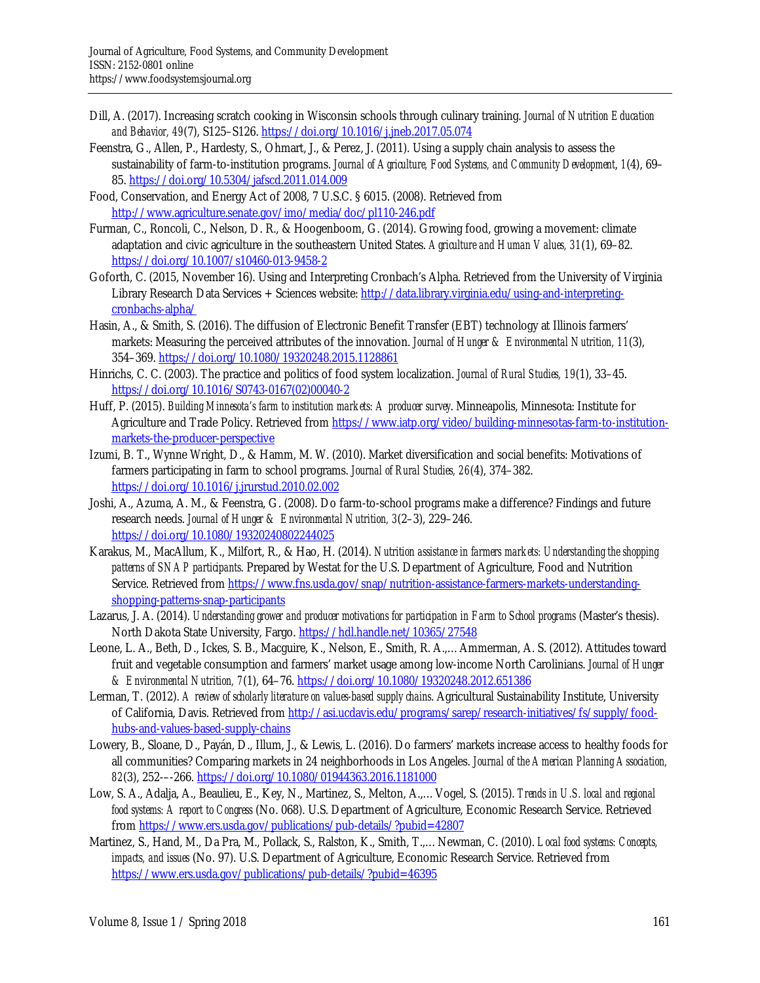- Dill, A. (2017). Increasing scratch cooking in Wisconsin schools through culinary training. *Journal of Nutrition Education and Behavior, 49*(7), S125–S126. https://doi.org/10.1016/j.jneb.2017.05.074
- Feenstra, G., Allen, P., Hardesty, S., Ohmart, J., & Perez, J. (2011). Using a supply chain analysis to assess the sustainability of farm-to-institution programs. *Journal of Agriculture, Food Systems, and Community Development*, *1*(4), 69– 85. https://doi.org/10.5304/jafscd.2011.014.009
- Food, Conservation, and Energy Act of 2008, 7 U.S.C. § 6015. (2008). Retrieved from http://www.agriculture.senate.gov/imo/media/doc/pl110-246.pdf
- Furman, C., Roncoli, C., Nelson, D. R., & Hoogenboom, G. (2014). Growing food, growing a movement: climate adaptation and civic agriculture in the southeastern United States. *Agriculture and Human Values, 31*(1), 69–82. https://doi.org/10.1007/s10460-013-9458-2
- Goforth, C. (2015, November 16). Using and Interpreting Cronbach's Alpha. Retrieved from the University of Virginia Library Research Data Services + Sciences website: http://data.library.virginia.edu/using-and-interpretingcronbachs-alpha/
- Hasin, A., & Smith, S. (2016). The diffusion of Electronic Benefit Transfer (EBT) technology at Illinois farmers' markets: Measuring the perceived attributes of the innovation. *Journal of Hunger & Environmental Nutrition, 11*(3), 354–369. https://doi.org/10.1080/19320248.2015.1128861
- Hinrichs, C. C. (2003). The practice and politics of food system localization. *Journal of Rural Studies, 19*(1), 33–45. [https://doi.org/10.1016/S0743-0167\(02\)00040-2](https://doi.org/10.1016/S0743-0167(02)00040-2)
- Huff, P. (2015). *Building Minnesota's farm to institution markets: A producer survey*. Minneapolis, Minnesota: Institute for Agriculture and Trade Policy. Retrieved from https://www.iatp.org/video/building-minnesotas-farm-to-institutionmarkets-the-producer-perspective
- Izumi, B. T., Wynne Wright, D., & Hamm, M. W. (2010). Market diversification and social benefits: Motivations of farmers participating in farm to school programs. *Journal of Rural Studies, 26*(4), 374–382. https://doi.org/10.1016/j.jrurstud.2010.02.002
- Joshi, A., Azuma, A. M., & Feenstra, G. (2008). Do farm-to-school programs make a difference? Findings and future research needs. *Journal of Hunger & Environmental Nutrition, 3*(2–3), 229–246. https://doi.org/10.1080/19320240802244025
- Karakus, M., MacAllum, K., Milfort, R., & Hao, H. (2014). *Nutrition assistance in farmers markets: Understanding the shopping patterns of SNAP participants*. Prepared by Westat for the U.S. Department of Agriculture, Food and Nutrition Service. Retrieved from https://www.fns.usda.gov/snap/nutrition-assistance-farmers-markets-understandingshopping-patterns-snap-participants
- Lazarus, J. A. (2014). *Understanding grower and producer motivations for participation in Farm to School programs* (Master's thesis). North Dakota State University, Fargo. https://hdl.handle.net/10365/27548
- Leone, L. A., Beth, D., Ickes, S. B., Macguire, K., Nelson, E., Smith, R. A.,…Ammerman, A. S. (2012). Attitudes toward fruit and vegetable consumption and farmers' market usage among low-income North Carolinians. *Journal of Hunger & Environmental Nutrition, 7*(1), 64–76. https://doi.org/10.1080/19320248.2012.651386
- Lerman, T. (2012). *A review of scholarly literature on values-based supply chains*. Agricultural Sustainability Institute, University of California, Davis. Retrieved from http://asi.ucdavis.edu/programs/sarep/research-initiatives/fs/supply/foodhubs-and-values-based-supply-chains
- Lowery, B., Sloane, D., Payán, D., Illum, J., & Lewis, L. (2016). Do farmers' markets increase access to healthy foods for all communities? Comparing markets in 24 neighborhoods in Los Angeles. *Journal of the American Planning Association, 82*(3), 252-–-266. https://doi.org/10.1080/01944363.2016.1181000
- Low, S. A., Adalja, A., Beaulieu, E., Key, N., Martinez, S., Melton, A.,…Vogel, S. (2015). *Trends in U.S. local and regional food systems: A report to Congress* (No. 068). U.S. Department of Agriculture, Economic Research Service. Retrieved from https://www.ers.usda.gov/publications/pub-details/?pubid=42807
- Martinez, S., Hand, M., Da Pra, M., Pollack, S., Ralston, K., Smith, T.,…Newman, C. (2010). *Local food systems: Concepts, impacts, and issues* (No. 97). U.S. Department of Agriculture, Economic Research Service. Retrieved from https://www.ers.usda.gov/publications/pub-details/?pubid=46395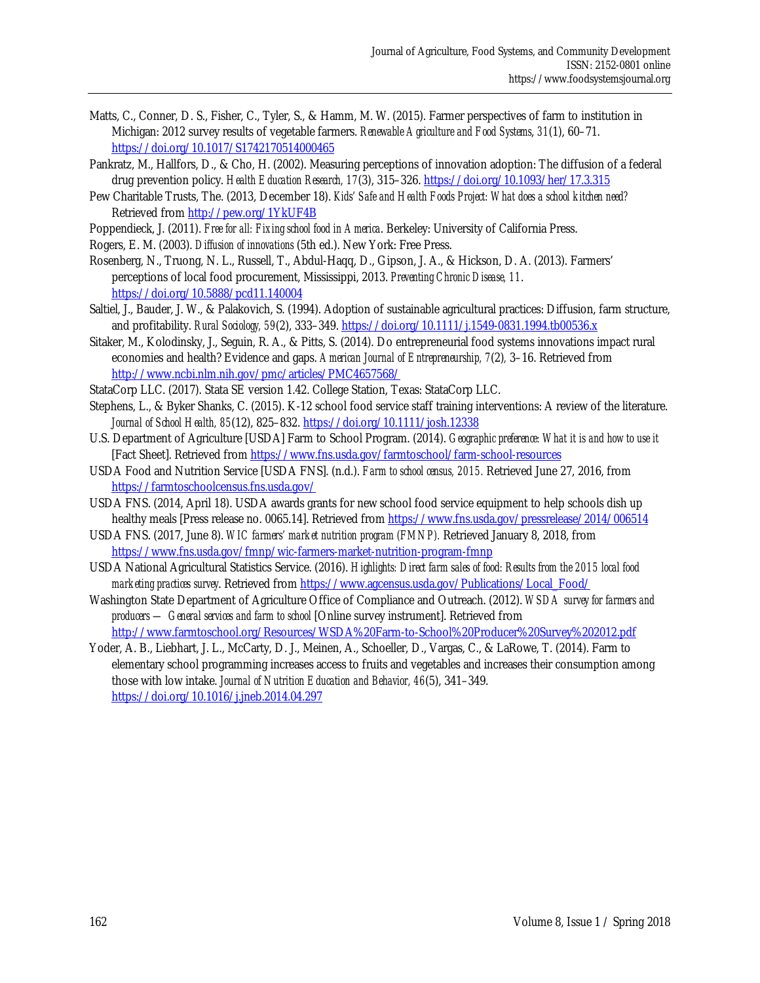- Matts, C., Conner, D. S., Fisher, C., Tyler, S., & Hamm, M. W. (2015). Farmer perspectives of farm to institution in Michigan: 2012 survey results of vegetable farmers. *Renewable Agriculture and Food Systems*, *31*(1), 60–71. https://doi.org/10.1017/S1742170514000465
- Pankratz, M., Hallfors, D., & Cho, H. (2002). Measuring perceptions of innovation adoption: The diffusion of a federal drug prevention policy. *Health Education Research, 17*(3), 315–326. https://doi.org/10.1093/her/17.3.315
- Pew Charitable Trusts, The. (2013, December 18). *Kids' Safe and Health Foods Project: What does a school kitchen need?* Retrieved from http://pew.org/1YkUF4B
- Poppendieck, J. (2011). *Free for all: Fixing school food in America*. Berkeley: University of California Press.
- Rogers, E. M. (2003). *Diffusion of innovations* (5th ed.). New York: Free Press.
- Rosenberg, N., Truong, N. L., Russell, T., Abdul-Haqq, D., Gipson, J. A., & Hickson, D. A. (2013). Farmers' perceptions of local food procurement, Mississippi, 2013. *Preventing Chronic Disease, 11*. https://doi.org/10.5888/pcd11.140004
- Saltiel, J., Bauder, J. W., & Palakovich, S. (1994). Adoption of sustainable agricultural practices: Diffusion, farm structure, and profitability. *Rural Sociology, 59*(2), 333–349. https://doi.org/10.1111/j.1549-0831.1994.tb00536.x
- Sitaker, M., Kolodinsky, J., Seguin, R. A., & Pitts, S. (2014). Do entrepreneurial food systems innovations impact rural economies and health? Evidence and gaps. *American Journal of Entrepreneurship, 7*(2)*,* 3–16. Retrieved from http://www.ncbi.nlm.nih.gov/pmc/articles/PMC4657568/
- StataCorp LLC. (2017). Stata SE version 1.42. College Station, Texas: StataCorp LLC.
- Stephens, L., & Byker Shanks, C. (2015). K-12 school food service staff training interventions: A review of the literature. *Journal of School Health, 85*(12), 825–832. https://doi.org/10.1111/josh.12338
- U.S. Department of Agriculture [USDA] Farm to School Program. (2014). *Geographic preference: What it is and how to use it* [Fact Sheet]. Retrieved from https://www.fns.usda.gov/farmtoschool/farm-school-resources
- USDA Food and Nutrition Service [USDA FNS]. (n.d.). *Farm to school census, 2015.* Retrieved June 27, 2016, from https://farmtoschoolcensus.fns.usda.gov/
- USDA FNS. (2014, April 18). USDA awards grants for new school food service equipment to help schools dish up healthy meals [Press release no. 0065.14]. Retrieved from https://www.fns.usda.gov/pressrelease/2014/006514
- USDA FNS. (2017, June 8). *WIC farmers' market nutrition program (FMNP).* Retrieved January 8, 2018, from https://www.fns.usda.gov/fmnp/wic-farmers-market-nutrition-program-fmnp
- USDA National Agricultural Statistics Service. (2016). *Highlights: Direct farm sales of food: Results from the 2015 local food marketing practices survey*. Retrieved from https://www.agcensus.usda.gov/Publications/Local\_Food/
- Washington State Department of Agriculture Office of Compliance and Outreach. (2012). *WSDA survey for farmers and producers — General services and farm to school* [Online survey instrument]. Retrieved from http://www.farmtoschool.org/Resources/WSDA%20Farm-to-School%20Producer%20Survey%202012.pdf
- Yoder, A. B., Liebhart, J. L., McCarty, D. J., Meinen, A., Schoeller, D., Vargas, C., & LaRowe, T. (2014). Farm to elementary school programming increases access to fruits and vegetables and increases their consumption among those with low intake. *Journal of Nutrition Education and Behavior, 46*(5), 341–349.

https://doi.org/10.1016/j.jneb.2014.04.297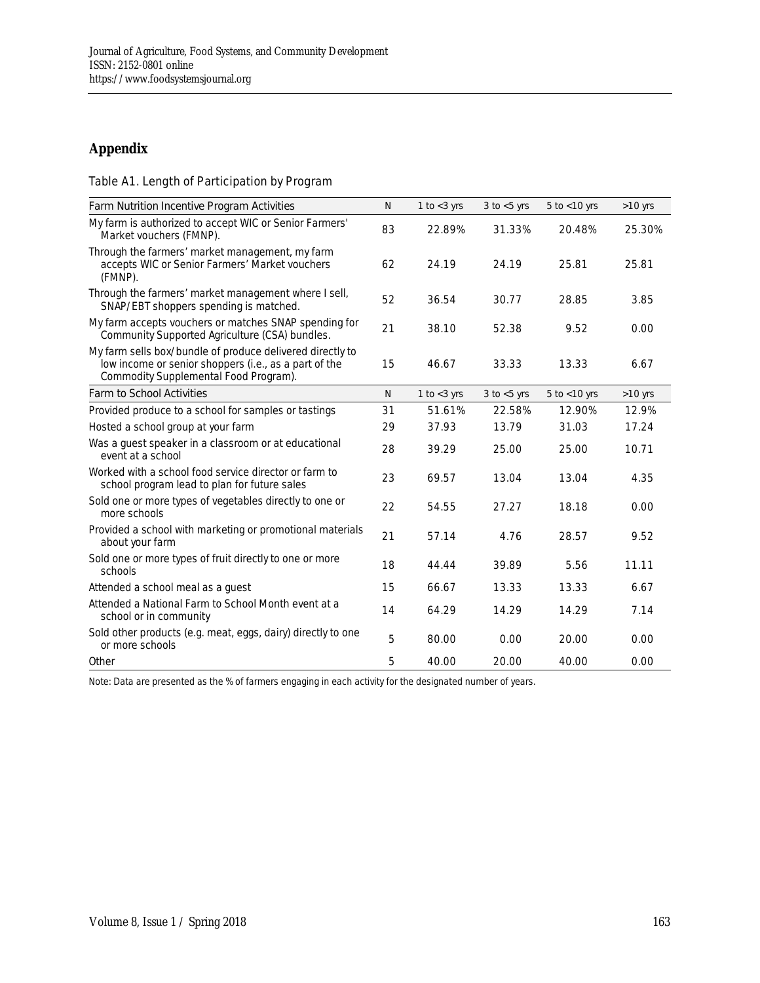## **Appendix**

#### Table A1. Length of Participation by Program

| Farm Nutrition Incentive Program Activities                                                                                                                 | $\overline{N}$ | 1 to $<$ 3 yrs | $3$ to $< 5$ yrs | $5$ to $<$ 10 yrs | $>10$ yrs |
|-------------------------------------------------------------------------------------------------------------------------------------------------------------|----------------|----------------|------------------|-------------------|-----------|
| My farm is authorized to accept WIC or Senior Farmers'<br>Market vouchers (FMNP).                                                                           | 83             | 22.89%         | 31.33%           | 20.48%            | 25.30%    |
| Through the farmers' market management, my farm<br>accepts WIC or Senior Farmers' Market vouchers<br>(FMNP).                                                | 62             | 24.19          | 24.19            | 25.81             | 25.81     |
| Through the farmers' market management where I sell,<br>SNAP/EBT shoppers spending is matched.                                                              | 52             | 36.54          | 30.77            | 28.85             | 3.85      |
| My farm accepts vouchers or matches SNAP spending for<br>Community Supported Agriculture (CSA) bundles.                                                     | 21             | 38.10          | 52.38            | 9.52              | 0.00      |
| My farm sells box/bundle of produce delivered directly to<br>low income or senior shoppers (i.e., as a part of the<br>Commodity Supplemental Food Program). | 15             | 46.67          | 33.33            | 13.33             | 6.67      |
| Farm to School Activities                                                                                                                                   | $\overline{N}$ | 1 to $<$ 3 yrs | $3$ to $< 5$ yrs | $5$ to $<$ 10 yrs | $>10$ yrs |
| Provided produce to a school for samples or tastings                                                                                                        | 31             | 51.61%         | 22.58%           | 12.90%            | 12.9%     |
| Hosted a school group at your farm                                                                                                                          | 29             | 37.93          | 13.79            | 31.03             | 17.24     |
| Was a guest speaker in a classroom or at educational<br>event at a school                                                                                   | 28             | 39.29          | 25.00            | 25.00             | 10.71     |
| Worked with a school food service director or farm to<br>school program lead to plan for future sales                                                       | 23             | 69.57          | 13.04            | 13.04             | 4.35      |
| Sold one or more types of vegetables directly to one or<br>more schools                                                                                     | 22             | 54.55          | 27.27            | 18.18             | 0.00      |
| Provided a school with marketing or promotional materials<br>about your farm                                                                                | 21             | 57.14          | 4.76             | 28.57             | 9.52      |
| Sold one or more types of fruit directly to one or more<br>schools                                                                                          | 18             | 44.44          | 39.89            | 5.56              | 11.11     |
| Attended a school meal as a guest                                                                                                                           | 15             | 66.67          | 13.33            | 13.33             | 6.67      |
| Attended a National Farm to School Month event at a<br>school or in community                                                                               | 14             | 64.29          | 14.29            | 14.29             | 7.14      |
| Sold other products (e.g. meat, eggs, dairy) directly to one<br>or more schools                                                                             | 5              | 80.00          | 0.00             | 20.00             | 0.00      |
| Other                                                                                                                                                       | 5              | 40.00          | 20.00            | 40.00             | 0.00      |

Note: Data are presented as the % of farmers engaging in each activity for the designated number of years.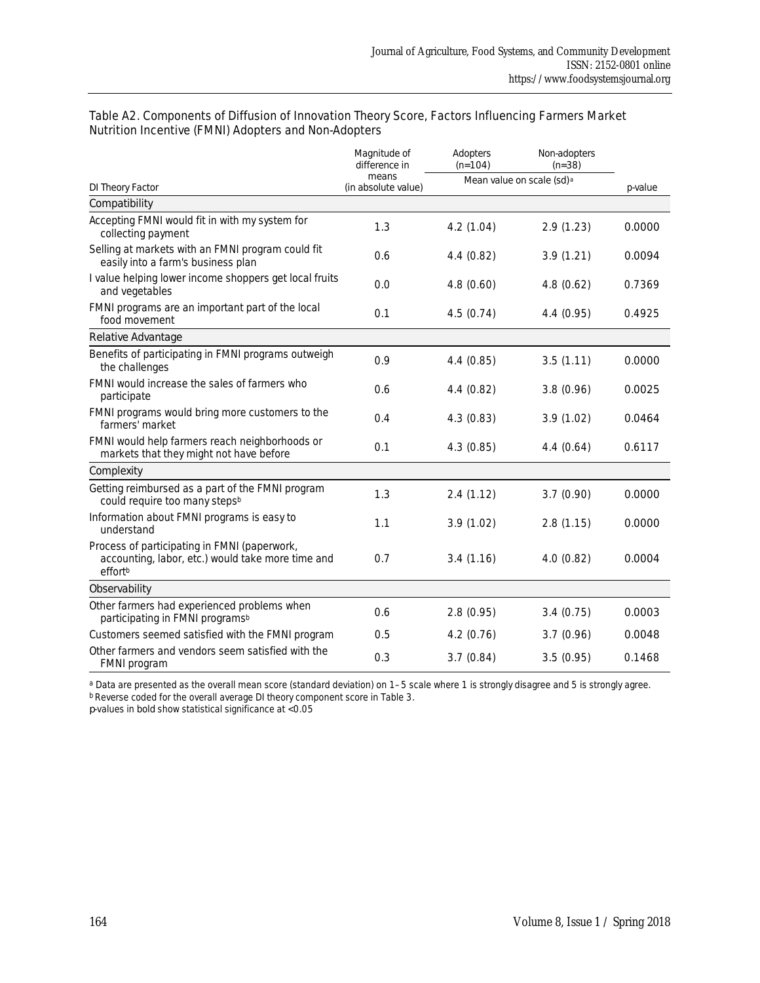|                                                                                                              | Magnitude of<br>difference in | Adopters<br>$(n=104)$                 | Non-adopters<br>$(n=38)$ |        |
|--------------------------------------------------------------------------------------------------------------|-------------------------------|---------------------------------------|--------------------------|--------|
| DI Theory Factor                                                                                             | means<br>(in absolute value)  | Mean value on scale (sd) <sup>a</sup> | $p$ -value               |        |
| Compatibility                                                                                                |                               |                                       |                          |        |
| Accepting FMNI would fit in with my system for<br>collecting payment                                         | 1.3                           | 4.2(1.04)                             | 2.9(1.23)                | 0.0000 |
| Selling at markets with an FMNI program could fit<br>easily into a farm's business plan                      | 0.6                           | 4.4(0.82)                             | 3.9(1.21)                | 0.0094 |
| I value helping lower income shoppers get local fruits<br>and vegetables                                     | 0.0                           | 4.8(0.60)                             | 4.8(0.62)                | 0.7369 |
| FMNI programs are an important part of the local<br>food movement                                            | 0.1                           | 4.5(0.74)                             | 4.4 (0.95)               | 0.4925 |
| Relative Advantage                                                                                           |                               |                                       |                          |        |
| Benefits of participating in FMNI programs outweigh<br>the challenges                                        | 0.9                           | 4.4(0.85)                             | 3.5(1.11)                | 0.0000 |
| FMNI would increase the sales of farmers who<br>participate                                                  | 0.6                           | 4.4(0.82)                             | 3.8(0.96)                | 0.0025 |
| FMNI programs would bring more customers to the<br>farmers' market                                           | 0.4                           | 4.3(0.83)                             | 3.9(1.02)                | 0.0464 |
| FMNI would help farmers reach neighborhoods or<br>markets that they might not have before                    | 0.1                           | 4.3(0.85)                             | 4.4(0.64)                | 0.6117 |
| Complexity                                                                                                   |                               |                                       |                          |        |
| Getting reimbursed as a part of the FMNI program<br>could require too many stepsb                            | 1.3                           | 2.4(1.12)                             | 3.7(0.90)                | 0.0000 |
| Information about FMNI programs is easy to<br>understand                                                     | 1.1                           | 3.9(1.02)                             | 2.8(1.15)                | 0.0000 |
| Process of participating in FMNI (paperwork,<br>accounting, labor, etc.) would take more time and<br>effortb | 0.7                           | 3.4(1.16)                             | 4.0(0.82)                | 0.0004 |
| Observability                                                                                                |                               |                                       |                          |        |
| Other farmers had experienced problems when<br>participating in FMNI programs <sup>b</sup>                   | 0.6                           | 2.8(0.95)                             | 3.4(0.75)                | 0.0003 |
| Customers seemed satisfied with the FMNI program                                                             | 0.5                           | 4.2(0.76)                             | 3.7(0.96)                | 0.0048 |
| Other farmers and vendors seem satisfied with the<br>FMNI program                                            | 0.3                           | 3.7(0.84)                             | 3.5(0.95)                | 0.1468 |

#### Table A2. Components of Diffusion of Innovation Theory Score, Factors Influencing Farmers Market Nutrition Incentive (FMNI) Adopters and Non-Adopters

a Data are presented as the overall mean score (standard deviation) on 1–5 scale where 1 is strongly disagree and 5 is strongly agree. b Reverse coded for the overall average DI theory component score in Table 3.

*p*-values in bold show statistical significance at <0.05